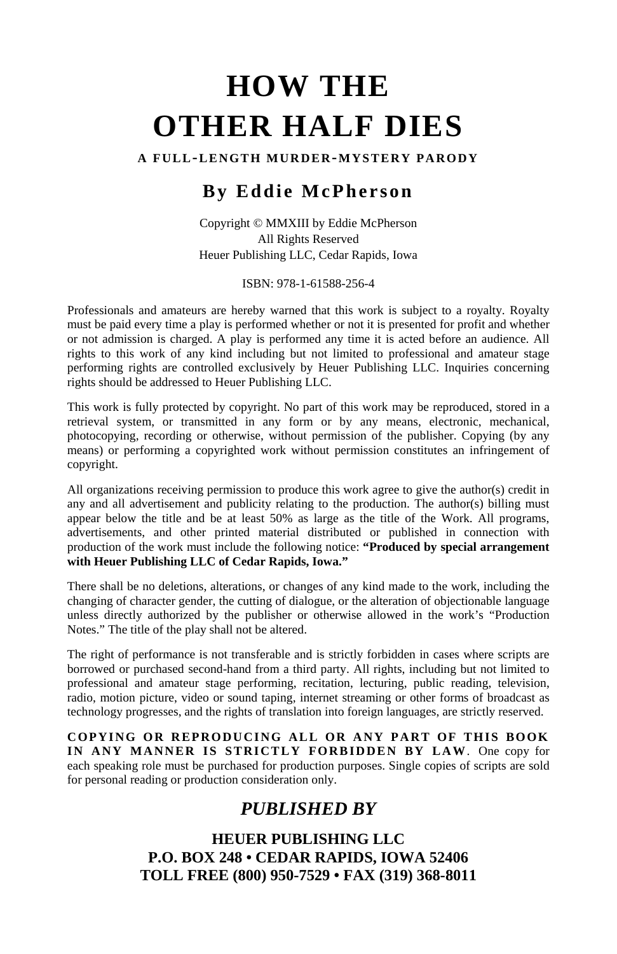# **HOW THE OTHER HALF DIES**

**A FULL-LENGTH MURDER-MYSTERY PARODY**

## **By Eddie McPherson**

Copyright © MMXIII by Eddie McPherson All Rights Reserved Heuer Publishing LLC, Cedar Rapids, Iowa

ISBN: 978-1-61588-256-4

Professionals and amateurs are hereby warned that this work is subject to a royalty. Royalty must be paid every time a play is performed whether or not it is presented for profit and whether or not admission is charged. A play is performed any time it is acted before an audience. All rights to this work of any kind including but not limited to professional and amateur stage performing rights are controlled exclusively by Heuer Publishing LLC. Inquiries concerning rights should be addressed to Heuer Publishing LLC.

This work is fully protected by copyright. No part of this work may be reproduced, stored in a retrieval system, or transmitted in any form or by any means, electronic, mechanical, photocopying, recording or otherwise, without permission of the publisher. Copying (by any means) or performing a copyrighted work without permission constitutes an infringement of copyright.

All organizations receiving permission to produce this work agree to give the author(s) credit in any and all advertisement and publicity relating to the production. The author(s) billing must appear below the title and be at least 50% as large as the title of the Work. All programs, advertisements, and other printed material distributed or published in connection with production of the work must include the following notice: **"Produced by special arrangement with Heuer Publishing LLC of Cedar Rapids, Iowa."**

There shall be no deletions, alterations, or changes of any kind made to the work, including the changing of character gender, the cutting of dialogue, or the alteration of objectionable language unless directly authorized by the publisher or otherwise allowed in the work's "Production Notes." The title of the play shall not be altered.

The right of performance is not transferable and is strictly forbidden in cases where scripts are borrowed or purchased second-hand from a third party. All rights, including but not limited to professional and amateur stage performing, recitation, lecturing, public reading, television, radio, motion picture, video or sound taping, internet streaming or other forms of broadcast as technology progresses, and the rights of translation into foreign languages, are strictly reserved.

**COPYING OR REPRODUCING ALL OR ANY PART OF THIS BOOK IN ANY MANNER IS STRICTLY FORBIDDEN BY LAW**. One copy for each speaking role must be purchased for production purposes. Single copies of scripts are sold for personal reading or production consideration only.

### *PUBLISHED BY*

**HEUER PUBLISHING LLC P.O. BOX 248 • CEDAR RAPIDS, IOWA 52406 TOLL FREE (800) 950-7529 • FAX (319) 368-8011**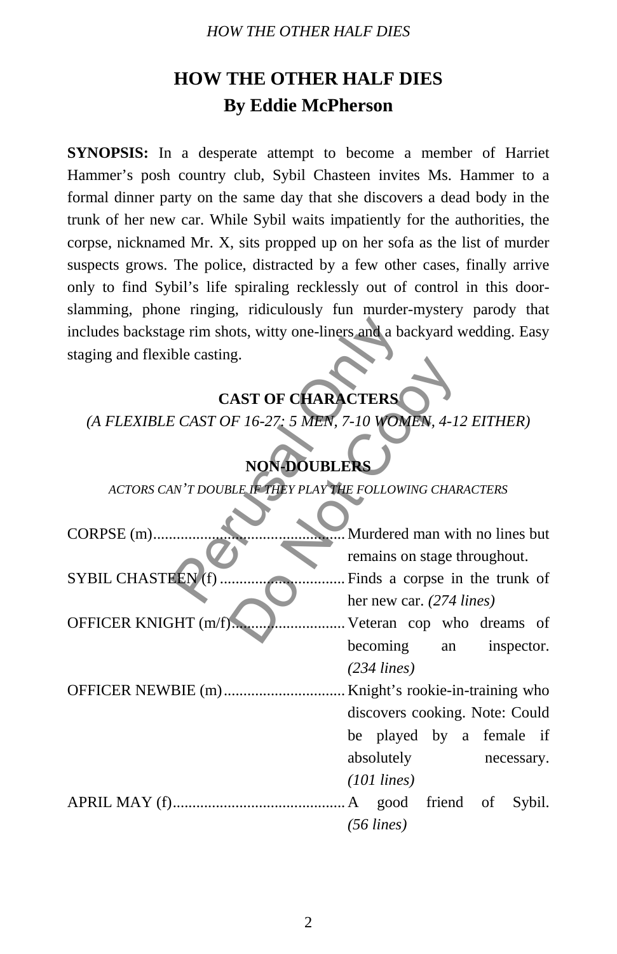#### *HOW THE OTHER HALF DIES*

# **HOW THE OTHER HALF DIES By Eddie McPherson**

**SYNOPSIS:** In a desperate attempt to become a member of Harriet Hammer's posh country club, Sybil Chasteen invites Ms. Hammer to a formal dinner party on the same day that she discovers a dead body in the trunk of her new car. While Sybil waits impatiently for the authorities, the corpse, nicknamed Mr. X, sits propped up on her sofa as the list of murder suspects grows. The police, distracted by a few other cases, finally arrive only to find Sybil's life spiraling recklessly out of control in this doorslamming, phone ringing, ridiculously fun murder-mystery parody that includes backstage rim shots, witty one-liners and a backyard wedding. Easy staging and flexible casting.

# **CAST OF CHARACTERS**

# **NON-DOUBLER**

| includes backstage rim shots, witty one-liners and a backyard wedding. Easy |                                |
|-----------------------------------------------------------------------------|--------------------------------|
| staging and flexible casting.                                               |                                |
| <b>CAST OF CHARACTERS</b>                                                   |                                |
| (A FLEXIBLE CAST OF 16-27: 5 MEN, 7-10 WOMEN, 4-12 EITHER)                  |                                |
| <b>NON-DOUBLERS</b>                                                         |                                |
| ACTORS CAN'T DOUBLE IF THEY PLAY THE FOLLOWING CHARACTERS                   |                                |
|                                                                             |                                |
| CORPSE (m)                                                                  | Murdered man with no lines but |
|                                                                             | remains on stage throughout.   |
| SYBIL CHASTEEN (f)                                                          | Finds a corpse in the trunk of |
|                                                                             | her new car. (274 lines)       |
| OFFICER KNIGHT (m/f)                                                        | . Veteran cop who dreams of    |
|                                                                             | becoming<br>an inspector.      |
|                                                                             | $(234$ lines)                  |
|                                                                             |                                |
|                                                                             | discovers cooking. Note: Could |
|                                                                             | be played by a female if       |
|                                                                             | absolutely<br>necessary.       |
|                                                                             | $(101$ lines)                  |
|                                                                             | A good friend of Sybil.        |
|                                                                             | $(56$ lines)                   |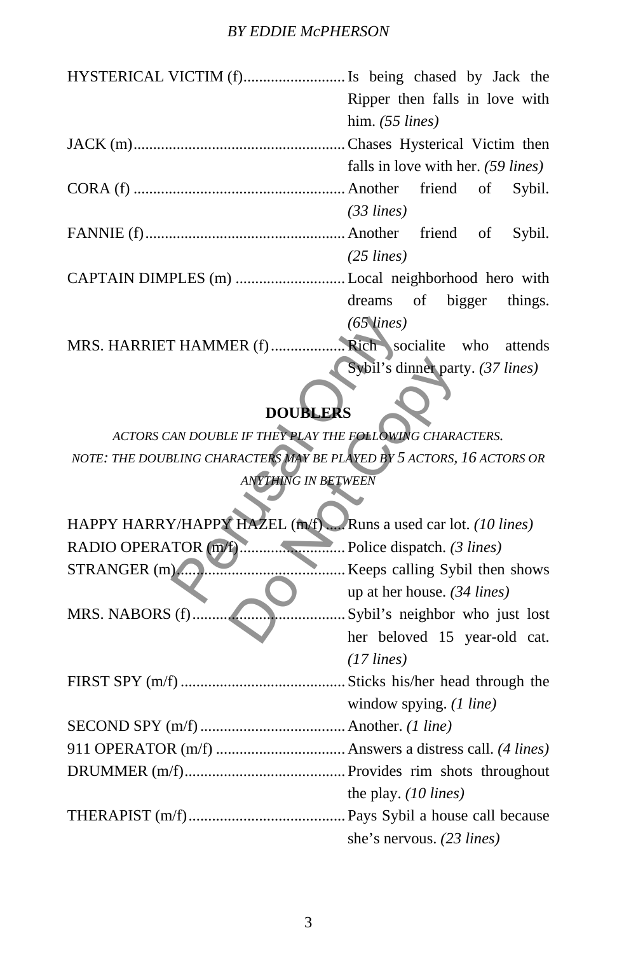### *BY EDDIE McPHERSON*

| Ripper then falls in love with     |  |  |  |  |  |
|------------------------------------|--|--|--|--|--|
| him. $(55 \text{ lines})$          |  |  |  |  |  |
|                                    |  |  |  |  |  |
| falls in love with her. (59 lines) |  |  |  |  |  |
|                                    |  |  |  |  |  |
| $(33 \text{ lines})$               |  |  |  |  |  |
|                                    |  |  |  |  |  |
| $(25$ lines)                       |  |  |  |  |  |
|                                    |  |  |  |  |  |
| dreams of bigger things.           |  |  |  |  |  |
| $(65 \text{ lines})$               |  |  |  |  |  |
|                                    |  |  |  |  |  |
| Sybil's dinner party. (37 lines)   |  |  |  |  |  |

# **DOUBLERS**

|                                                                       | $(65 \text{ lines})$                  |  |  |  |  |  |  |
|-----------------------------------------------------------------------|---------------------------------------|--|--|--|--|--|--|
| MRS. HARRIET HAMMER (f)                                               | Rich socialite who attends            |  |  |  |  |  |  |
|                                                                       | Sybil's dinner party. (37 lines)      |  |  |  |  |  |  |
| <b>DOUBLERS</b>                                                       |                                       |  |  |  |  |  |  |
| ACTORS CAN DOUBLE IF THEY PLAY THE FOLLOWING CHARACTERS.              |                                       |  |  |  |  |  |  |
| NOTE: THE DOUBLING CHARACTERS MAY BE PLAYED BY 5 ACTORS, 16 ACTORS OR |                                       |  |  |  |  |  |  |
| <b>ANYTHING IN BETWEEN</b>                                            |                                       |  |  |  |  |  |  |
|                                                                       |                                       |  |  |  |  |  |  |
| HAPPY HARRY/HAPPY HAZEL (m/f) Runs a used car lot. (10 lines)         |                                       |  |  |  |  |  |  |
|                                                                       |                                       |  |  |  |  |  |  |
| STRANGER (m)                                                          | Keeps calling Sybil then shows        |  |  |  |  |  |  |
|                                                                       | up at her house. $(34 \text{ lines})$ |  |  |  |  |  |  |
| MRS. NABORS (f)                                                       | Sybil's neighbor who just lost        |  |  |  |  |  |  |
|                                                                       | her beloved 15 year-old cat.          |  |  |  |  |  |  |
|                                                                       | $(17$ lines)                          |  |  |  |  |  |  |
|                                                                       |                                       |  |  |  |  |  |  |
|                                                                       | window spying. $(1 \text{ line})$     |  |  |  |  |  |  |
|                                                                       |                                       |  |  |  |  |  |  |
|                                                                       |                                       |  |  |  |  |  |  |
|                                                                       |                                       |  |  |  |  |  |  |
|                                                                       | the play. $(10 \text{ lines})$        |  |  |  |  |  |  |
|                                                                       |                                       |  |  |  |  |  |  |
|                                                                       | she's nervous. (23 lines)             |  |  |  |  |  |  |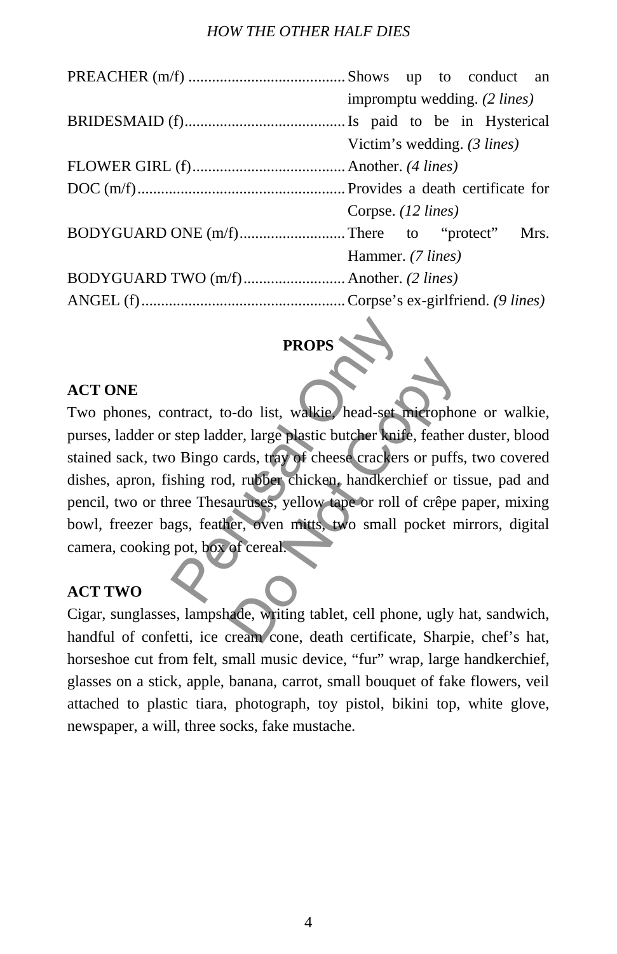#### *HOW THE OTHER HALF DIES*

| impromptu wedding. (2 lines) |  |  |  |  |  |                             |  |  |
|------------------------------|--|--|--|--|--|-----------------------------|--|--|
|                              |  |  |  |  |  |                             |  |  |
|                              |  |  |  |  |  |                             |  |  |
|                              |  |  |  |  |  |                             |  |  |
|                              |  |  |  |  |  |                             |  |  |
| Corpse. (12 lines)           |  |  |  |  |  |                             |  |  |
|                              |  |  |  |  |  |                             |  |  |
| Hammer. (7 lines)            |  |  |  |  |  |                             |  |  |
|                              |  |  |  |  |  |                             |  |  |
|                              |  |  |  |  |  |                             |  |  |
|                              |  |  |  |  |  | Victim's wedding. (3 lines) |  |  |

# **PROPS**

### **ACT ONE**

Two phones, contract, to-do list, walkie, head-set microphone or walkie, purses, ladder or step ladder, large plastic butcher knife, feather duster, blood stained sack, two Bingo cards, tray of cheese crackers or puffs, two covered dishes, apron, fishing rod, rubber chicken, handkerchief or tissue, pad and pencil, two or three Thesauruses, yellow tape or roll of crêpe paper, mixing bowl, freezer bags, feather, oven mitts, two small pocket mirrors, digital camera, cooking pot, box of cereal. PROPS<br>
Intract, to-do list, walkie, head-set might<br>
step ladder, large plastic butcher knife,<br>
Delingo cards, tray of cheese crackers of<br>
shing rod, rubber chicken, handkerchie<br>
ree Thesauruses, yellow tape or roll of<br>
ags Capture Colorer and School Colorer and School Colorer and School Colorer and School Copyright, and School Copyright Control of critical Copyright Control of critical Copyright Copyright Copyright Copyright Copyright Copyri

### **ACT TWO**

Cigar, sunglasses, lampshade, writing tablet, cell phone, ugly hat, sandwich, handful of confetti, ice cream cone, death certificate, Sharpie, chef's hat, horseshoe cut from felt, small music device, "fur" wrap, large handkerchief, glasses on a stick, apple, banana, carrot, small bouquet of fake flowers, veil attached to plastic tiara, photograph, toy pistol, bikini top, white glove, newspaper, a will, three socks, fake mustache.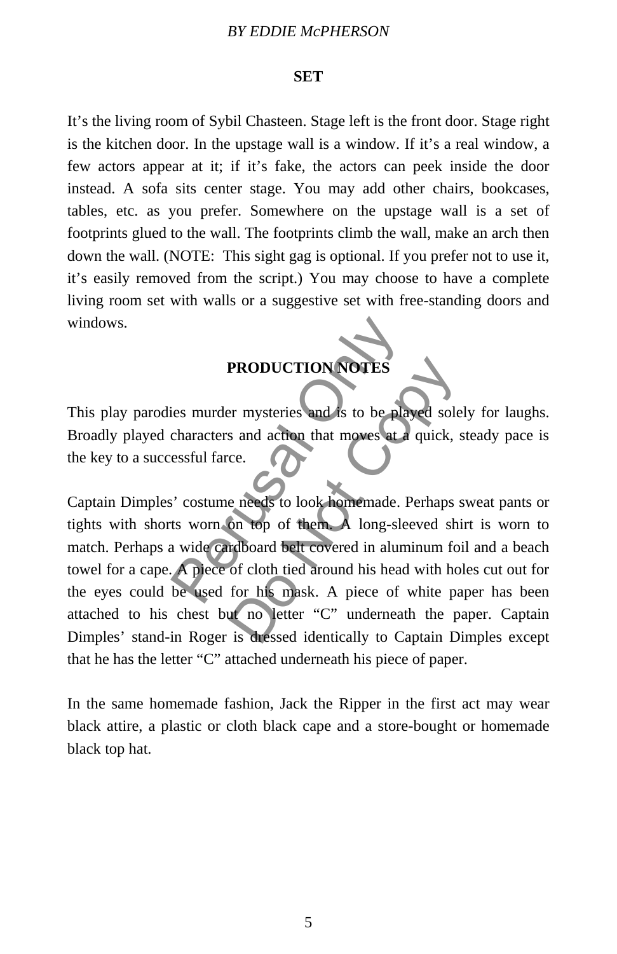#### *BY EDDIE McPHERSON*

#### **SET**

It's the living room of Sybil Chasteen. Stage left is the front door. Stage right is the kitchen door. In the upstage wall is a window. If it's a real window, a few actors appear at it; if it's fake, the actors can peek inside the door instead. A sofa sits center stage. You may add other chairs, bookcases, tables, etc. as you prefer. Somewhere on the upstage wall is a set of footprints glued to the wall. The footprints climb the wall, make an arch then down the wall. (NOTE: This sight gag is optional. If you prefer not to use it, it's easily removed from the script.) You may choose to have a complete living room set with walls or a suggestive set with free-standing doors and windows.

### **PRODUCTION NOTES**

This play parodies murder mysteries and is to be played solely for laughs. Broadly played characters and action that moves at a quick, steady pace is the key to a successful farce.

Captain Dimples' costume needs to look homemade. Perhaps sweat pants or tights with shorts worn on top of them. A long-sleeved shirt is worn to match. Perhaps a wide cardboard belt covered in aluminum foil and a beach towel for a cape. A piece of cloth tied around his head with holes cut out for the eyes could be used for his mask. A piece of white paper has been attached to his chest but no letter "C" underneath the paper. Captain Dimples' stand-in Roger is dressed identically to Captain Dimples except that he has the letter "C" attached underneath his piece of paper. PRODUCTION NOTES<br>
ies murder mysteries and is to be playe<br>
characters and action that moves at a q<br>
essful farce.<br>
Second the move of them.<br>
A long-sleev<br>
Note cardboard belt covered in alumin<br>
A piece of cloth tied around **PRODUCTION NOTES**<br>
Franchise and is to be played sole<br>
s and action that moves at a quick, s<br>
ce.<br>
e needs to look homemade. Perhaps s<br>
on top of them. A long-sleeved ship<br>
inclosed by the covered in aluminum for<br>
of clot

In the same homemade fashion, Jack the Ripper in the first act may wear black attire, a plastic or cloth black cape and a store-bought or homemade black top hat.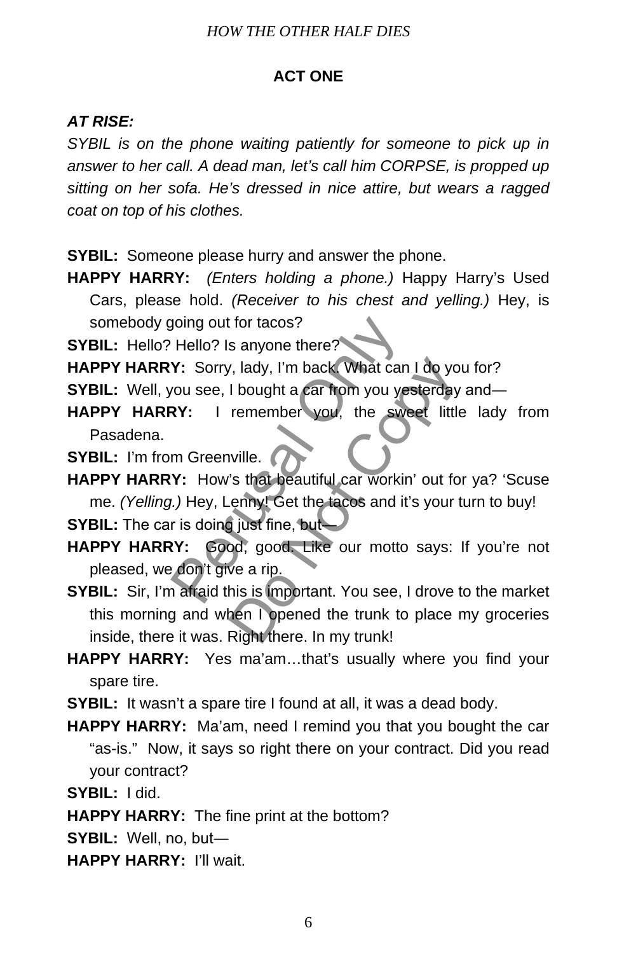### **ACT ONE**

### *AT RISE:*

*SYBIL is on the phone waiting patiently for someone to pick up in answer to her call. A dead man, let's call him CORPSE, is propped up sitting on her sofa. He's dressed in nice attire, but wears a ragged coat on top of his clothes.* 

- **SYBIL:** Someone please hurry and answer the phone.
- **HAPPY HARRY:** *(Enters holding a phone.)* Happy Harry's Used Cars, please hold. *(Receiver to his chest and yelling.)* Hey, is somebody going out for tacos?
- **SYBIL:** Hello? Hello? Is anyone there?<sup>4</sup>
- HAPPY HARRY: Sorry, lady, I'm back. What can I do you for?
- **SYBIL:** Well, you see, I bought a car from you yesterday and-
- **HAPPY HARRY:** I remember you, the sweet little lady from Pasadena.
- **SYBIL:** I'm from Greenville.
- **HAPPY HARRY:** How's that beautiful car workin' out for ya? 'Scuse me. *(Yelling.)* Hey, Lenny! Get the tacos and it's your turn to buy! poing out for tacos?<br>
Hello? Is anyone there?<br>
Y: Sorry, lady, I'm back What can I<br>
you see, I bought a car from you yest<br>
RY: I remember you, the sweet<br>
M Greenville.<br>
Y: How's that beautiful car workin'<br>
I.) Hey, Lenny!
- **SYBIL:** The car is doing just fine, but—
- **HAPPY HARRY:** Good, good. Like our motto says: If you're not pleased, we don't give a rip.
- **SYBIL:** Sir, I'm afraid this is important. You see, I drove to the market this morning and when I opened the trunk to place my groceries inside, there it was. Right there. In my trunk! What can I do yo<br>
I bought a car from you yesterday<br>
remember you, the sweet little<br>
wille.<br>
"S that beautiful car workin' out for<br>
enny! Get the taces and it's your t<br>
yout fine, but<br>
youthout it's your the sweet arip.<br>
N
- **HAPPY HARRY:** Yes ma'am…that's usually where you find your spare tire.
- **SYBIL:** It wasn't a spare tire I found at all, it was a dead body.
- **HAPPY HARRY:** Ma'am, need I remind you that you bought the car "as-is." Now, it says so right there on your contract. Did you read your contract?
- **SYBIL:** I did.
- **HAPPY HARRY:** The fine print at the bottom?
- **SYBIL:** Well, no, but―
- **HAPPY HARRY:** I'll wait.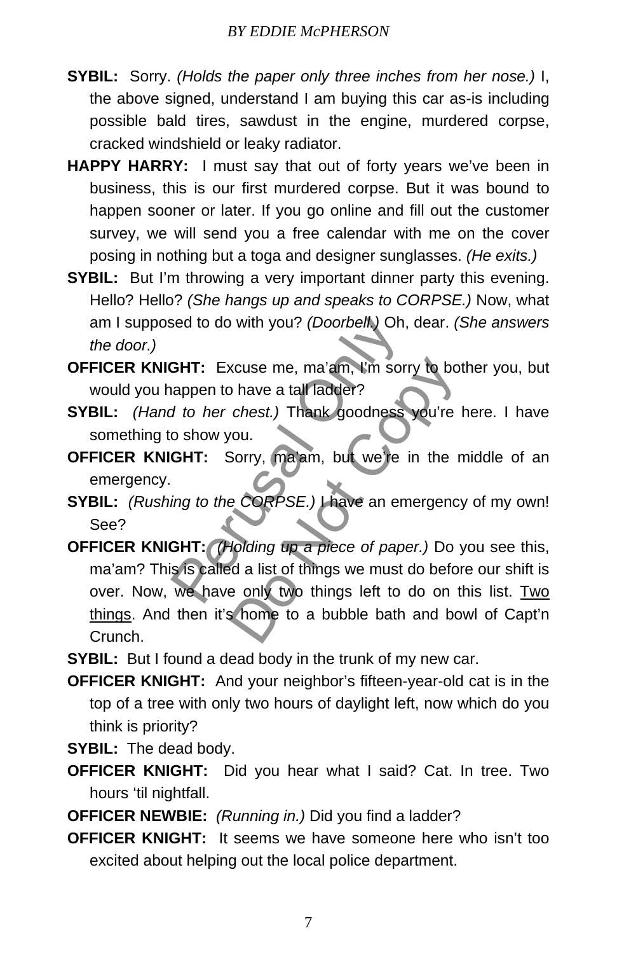- **SYBIL:** Sorry. *(Holds the paper only three inches from her nose.)* I, the above signed, understand I am buying this car as-is including possible bald tires, sawdust in the engine, murdered corpse, cracked windshield or leaky radiator.
- **HAPPY HARRY:** I must say that out of forty years we've been in business, this is our first murdered corpse. But it was bound to happen sooner or later. If you go online and fill out the customer survey, we will send you a free calendar with me on the cover posing in nothing but a toga and designer sunglasses. *(He exits.)*
- **SYBIL:** But I'm throwing a very important dinner party this evening. Hello? Hello? *(She hangs up and speaks to CORPSE.)* Now, what am I supposed to do with you? *(Doorbell.)* Oh, dear. *(She answers the door.)*
- **OFFICER KNIGHT:** Excuse me, ma'am, I'm sorry to bother you, but would you happen to have a tall ladder?
- **SYBIL:** *(Hand to her chest.)* Thank goodness you're here. I have something to show you.
- **OFFICER KNIGHT:** Sorry, ma'am, but we're in the middle of an emergency.
- **SYBIL:** *(Rushing to the CORPSE.)* I have an emergency of my own! See?
- **OFFICER KNIGHT:** *(Holding up a piece of paper.)* Do you see this, ma'am? This is called a list of things we must do before our shift is over. Now, we have only two things left to do on this list. Two things. And then it's home to a bubble bath and bowl of Capt'n Crunch. Sed to do with you? (Doorbell.) Oh, doorbell.) Oh, doorbell.) Oh, doorbell.) Oh, doorbell.<br> **GHT:** Excuse me, ma'am, I'm sorry appen to have a tall ladder?<br>
o show you.<br> **GHT:** Sorry, ma'am, but we're in ing to the CORPSE. xcuse me, ma'am, i'm sorry to bota<br>
bota tall ladder?<br>
chest.) Thank goodness you're<br>
you.<br>
Sorry, ma'am, but we're in the r<br>
e CORPSE.) I have an emergency<br>
dolding up a piece of paper.) Do you all a list of things we mus
- **SYBIL:** But I found a dead body in the trunk of my new car.
- **OFFICER KNIGHT:** And your neighbor's fifteen-year-old cat is in the top of a tree with only two hours of daylight left, now which do you think is priority?
- **SYBIL:** The dead body.
- **OFFICER KNIGHT:** Did you hear what I said? Cat. In tree. Two hours 'til nightfall.
- **OFFICER NEWBIE:** *(Running in.)* Did you find a ladder?
- **OFFICER KNIGHT:** It seems we have someone here who isn't too excited about helping out the local police department.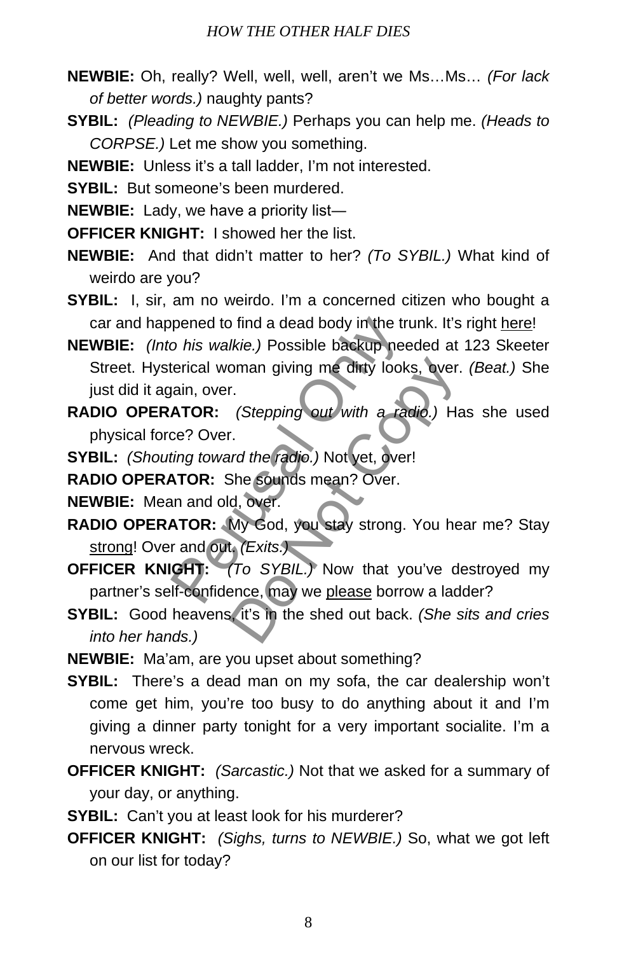- **NEWBIE:** Oh, really? Well, well, well, aren't we Ms…Ms… *(For lack of better words.)* naughty pants?
- **SYBIL:** *(Pleading to NEWBIE.)* Perhaps you can help me. *(Heads to CORPSE.)* Let me show you something.
- **NEWBIE:** Unless it's a tall ladder, I'm not interested.
- **SYBIL:** But someone's been murdered.
- **NEWBIE:** Lady, we have a priority list―
- **OFFICER KNIGHT:** I showed her the list.
- **NEWBIE:** And that didn't matter to her? *(To SYBIL.)* What kind of weirdo are you?
- **SYBIL:** I, sir, am no weirdo. I'm a concerned citizen who bought a car and happened to find a dead body in the trunk. It's right here!
- **NEWBIE:** *(Into his walkie.)* Possible backup needed at 123 Skeeter Street. Hysterical woman giving me dirty looks, over. *(Beat.)* She just did it again, over. pened to find a dead body in the trurn<br>
o his walkie.) Possible backup need<br>
terical woman giving me dirty looks,<br>
jain, over.<br> **ATOR:** (Stepping out with a radice? Over.<br>
ting toward the radio.) Not yet, over!<br> **ATOR:** Sh
- **RADIO OPERATOR:** *(Stepping out with a radio.)* Has she used physical force? Over. oman giving me dirty looks, over.<br>
r.<br>
(Stepping out with a radio.) Handio.)<br>
r.<br>
r.<br>
and the radio.) Not yet, over!<br>
She sounds mean? Over.<br>
d, over.<br>
d, over.<br>
My God, you stay strong. You he<br>
t. (Exits.)<br>
(To SYBIL.) No
- **SYBIL:** *(Shouting toward the radio.)* Not yet, over!
- **RADIO OPERATOR:** She sounds mean? Over.
- **NEWBIE:** Mean and old, over.
- **RADIO OPERATOR:** My God, you stay strong. You hear me? Stay strong! Over and out. *(Exits.)*
- **OFFICER KNIGHT:** *(To SYBIL.)* Now that you've destroyed my partner's self-confidence, may we please borrow a ladder?
- **SYBIL:** Good heavens, it's in the shed out back. *(She sits and cries into her hands.)*
- **NEWBIE:** Ma'am, are you upset about something?
- **SYBIL:** There's a dead man on my sofa, the car dealership won't come get him, you're too busy to do anything about it and I'm giving a dinner party tonight for a very important socialite. I'm a nervous wreck.
- **OFFICER KNIGHT:** *(Sarcastic.)* Not that we asked for a summary of your day, or anything.
- **SYBIL:** Can't you at least look for his murderer?
- **OFFICER KNIGHT:** *(Sighs, turns to NEWBIE.)* So, what we got left on our list for today?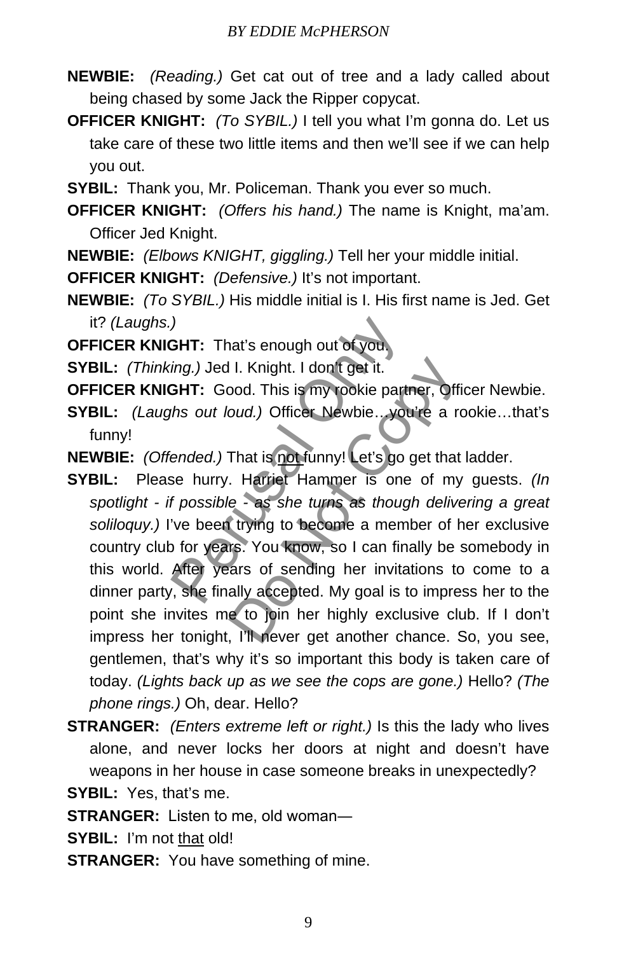- **NEWBIE:** *(Reading.)* Get cat out of tree and a lady called about being chased by some Jack the Ripper copycat.
- **OFFICER KNIGHT:** *(To SYBIL.)* I tell you what I'm gonna do. Let us take care of these two little items and then we'll see if we can help you out.
- **SYBIL:** Thank you, Mr. Policeman. Thank you ever so much.
- **OFFICER KNIGHT:** *(Offers his hand.)* The name is Knight, ma'am. Officer Jed Knight.
- **NEWBIE:** *(Elbows KNIGHT, giggling.)* Tell her your middle initial.
- **OFFICER KNIGHT:** *(Defensive.)* It's not important.
- **NEWBIE:** *(To SYBIL.)* His middle initial is I. His first name is Jed. Get it? *(Laughs.)*
- **OFFICER KNIGHT:** That's enough out of you.
- **SYBIL:** *(Thinking.)* Jed I. Knight. I don't get it.
- **OFFICER KNIGHT:** Good. This is my rookie partner, Officer Newbie.
- **SYBIL:** *(Laughs out loud.)* Officer Newbie…you're a rookie…that's funny!
- **NEWBIE:** *(Offended.)* That is not funny! Let's go get that ladder.
- **SYBIL:** Please hurry. Harriet Hammer is one of my guests. *(In spotlight - if possible - as she turns as though delivering a great soliloquy.)* I've been trying to become a member of her exclusive country club for years. You know, so I can finally be somebody in this world. After years of sending her invitations to come to a dinner party, she finally accepted. My goal is to impress her to the point she invites me to join her highly exclusive club. If I don't impress her tonight, I'll never get another chance. So, you see, gentlemen, that's why it's so important this body is taken care of today. *(Lights back up as we see the cops are gone.)* Hello? *(The phone rings.)* Oh, dear. Hello? FIT: That's enough out of you.<br>
ing.) Jed I. Knight. I don't get it.<br> **GHT:** Good. This is my rookie partness out loud.) Officer Newbie...you'll<br>
lended.) That is not funny! Let's go go<br>
se hurry. Harriet Hammer is one<br>
f II. Knight. I don't get it.<br>
bod. This is my rookie partner, Official<br>
coud.) Officer Newbie... you're a reflection.<br>
That is not funny! Let's go get that<br>
. Harriet Hammer is one of my<br>
le - as she turns as though delive<br>
- **STRANGER:** *(Enters extreme left or right.)* Is this the lady who lives alone, and never locks her doors at night and doesn't have weapons in her house in case someone breaks in unexpectedly?

**SYBIL:** Yes, that's me.

**STRANGER:** Listen to me, old woman―

- **SYBIL:** I'm not that old!
- **STRANGER:** You have something of mine.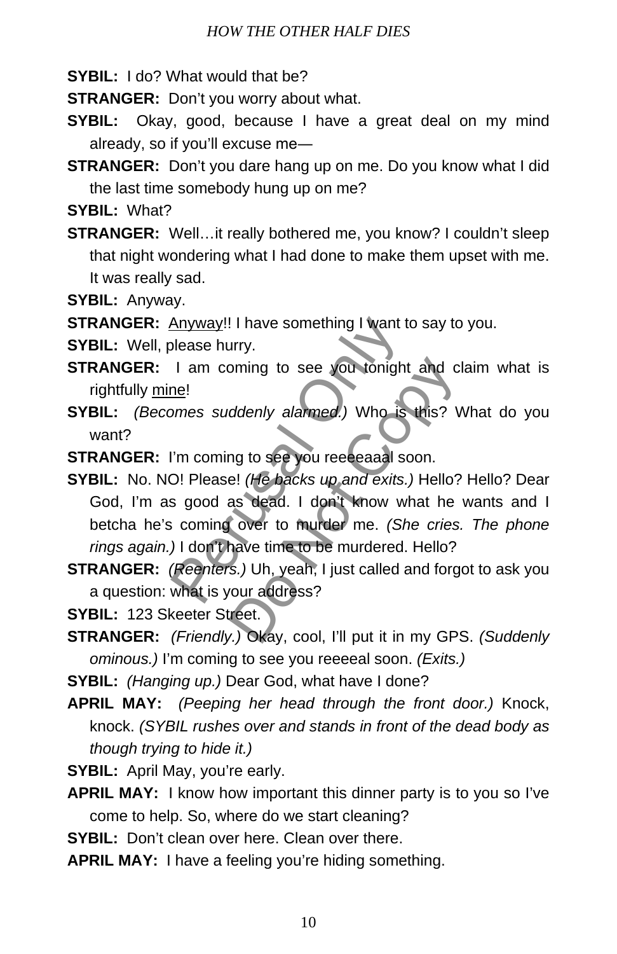**SYBIL:** I do? What would that be?

**STRANGER:** Don't you worry about what.

- **SYBIL:** Okay, good, because I have a great deal on my mind already, so if you'll excuse me―
- **STRANGER:** Don't you dare hang up on me. Do you know what I did the last time somebody hung up on me?

**SYBIL:** What?

**STRANGER:** Well…it really bothered me, you know? I couldn't sleep that night wondering what I had done to make them upset with me. It was really sad.

**SYBIL:** Anyway.

**STRANGER:** Anyway!! I have something I want to say to you.

**SYBIL:** Well, please hurry.

- **STRANGER:** I am coming to see you tonight and claim what is rightfully mine!
- **SYBIL:** *(Becomes suddenly alarmed.)* Who is this? What do you want?

**STRANGER:** I'm coming to see you reeeeaaal soon.

- **SYBIL:** No. NO! Please! *(He backs up and exits.)* Hello? Hello? Dear God, I'm as good as dead. I don't know what he wants and I betcha he's coming over to murder me. *(She cries. The phone rings again.)* I don't have time to be murdered. Hello? Anyway!! I have something I want to<br>blease hurry.<br>
I am coming to see you tonight<br>
ne!<br>
Pomes suddenly alarmed.) Who is there is<br>
i'm coming to see you reeesaal soc<br>
D! Please! (He backs up and exits.)<br>
Is good as dead. I oming to see you tonight and cl<br>ddenly alarmed.) Who is this? V<br>ng to see you reeesaaal soon.<br>e! (He backs up and exits.) Hello?<br>as dead. I don't know what he<br>over to murder me. (She cries.<br>have time to be murdered. Hello?
- **STRANGER:** *(Reenters.)* Uh, yeah, I just called and forgot to ask you a question: what is your address?
- **SYBIL:** 123 Skeeter Street.
- **STRANGER:** *(Friendly.)* Okay, cool, I'll put it in my GPS. *(Suddenly ominous.)* I'm coming to see you reeeeal soon. *(Exits.)*
- **SYBIL:** *(Hanging up.)* Dear God, what have I done?
- **APRIL MAY:** *(Peeping her head through the front door.)* Knock, knock. *(SYBIL rushes over and stands in front of the dead body as though trying to hide it.)*

**SYBIL:** April May, you're early.

- **APRIL MAY:** I know how important this dinner party is to you so I've come to help. So, where do we start cleaning?
- **SYBIL:** Don't clean over here. Clean over there
- **APRIL MAY:** I have a feeling you're hiding something.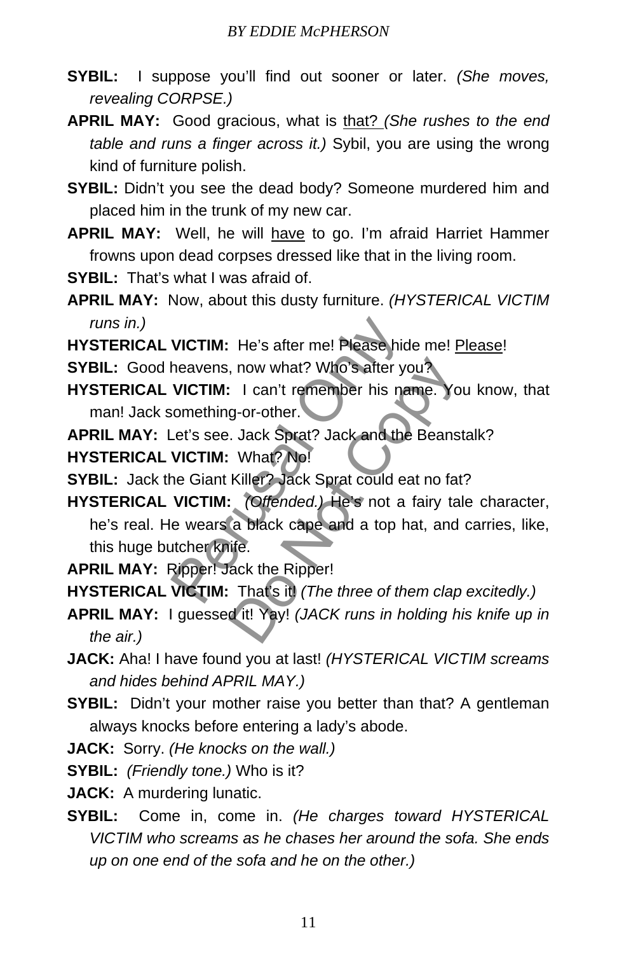- **SYBIL:** I suppose you'll find out sooner or later. *(She moves, revealing CORPSE.)*
- **APRIL MAY:** Good gracious, what is that? *(She rushes to the end table and runs a finger across it.)* Sybil, you are using the wrong kind of furniture polish.
- **SYBIL:** Didn't you see the dead body? Someone murdered him and placed him in the trunk of my new car.
- **APRIL MAY:** Well, he will have to go. I'm afraid Harriet Hammer frowns upon dead corpses dressed like that in the living room.
- **SYBIL:** That's what I was afraid of.
- **APRIL MAY:** Now, about this dusty furniture. *(HYSTERICAL VICTIM runs in.)*
- **HYSTERICAL VICTIM:** He's after me! Please hide me! Please!

**SYBIL:** Good heavens, now what? Who's after you?

- **HYSTERICAL VICTIM:** I can't remember his name. You know, that man! Jack something-or-other.
- **APRIL MAY:** Let's see. Jack Sprat? Jack and the Beanstalk?
- **HYSTERICAL VICTIM:** What? No!
- **SYBIL:** Jack the Giant Killer? Jack Sprat could eat no fat?
- **HYSTERICAL VICTIM:** *(Offended.)* He's not a fairy tale character, he's real. He wears a black cape and a top hat, and carries, like, this huge butcher knife. VICTIM: He's after me! Please hide<br>heavens, now what? Who's after you<br>VICTIM: I can't remember his nam<br>comething-or-other.<br>Let's see. Jack Sprat? Jack and the F<br>VICTIM: What? No!<br>he Giant Killer? Jack Sprat could eat<br>VICTI The New York of State Courts, Note of State Countries (Note October, Note October, Note October, Note Could ear no fature Control Control Control Control Control Control Control Control Control Control Control Control Cont
- **APRIL MAY:** Ripper! Jack the Ripper!

**HYSTERICAL VICTIM:** That's it! *(The three of them clap excitedly.)*

- **APRIL MAY:** I guessed it! Yay! *(JACK runs in holding his knife up in the air.)*
- **JACK:** Aha! I have found you at last! *(HYSTERICAL VICTIM screams and hides behind APRIL MAY.)*
- **SYBIL:** Didn't your mother raise you better than that? A gentleman always knocks before entering a lady's abode.
- **JACK:** Sorry. *(He knocks on the wall.)*

**SYBIL:** *(Friendly tone.)* Who is it?

- **JACK:** A murdering lunatic.
- **SYBIL:** Come in, come in. *(He charges toward HYSTERICAL VICTIM who screams as he chases her around the sofa. She ends up on one end of the sofa and he on the other.)*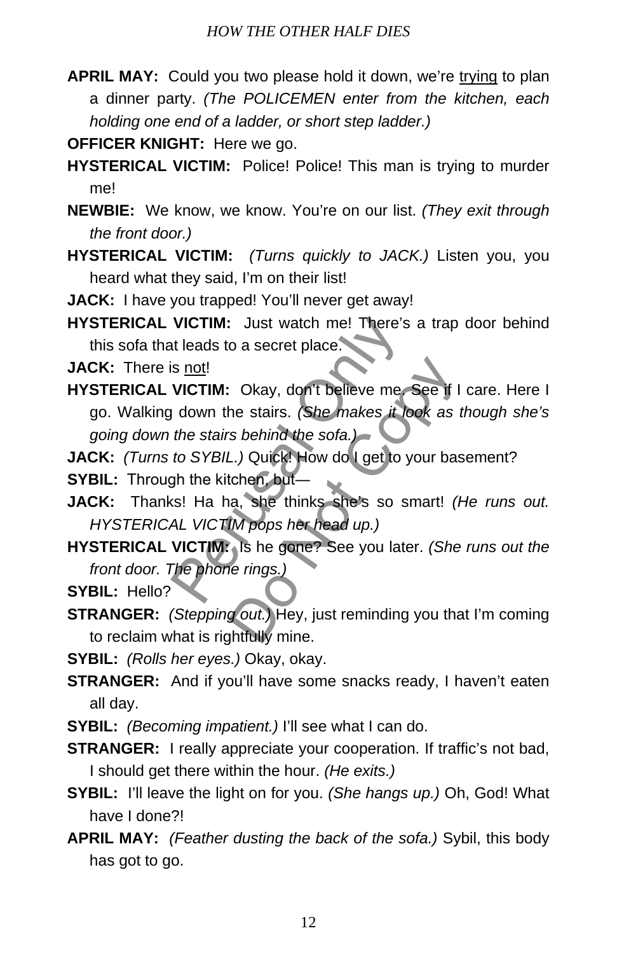- **APRIL MAY:** Could you two please hold it down, we're trying to plan a dinner party. *(The POLICEMEN enter from the kitchen, each holding one end of a ladder, or short step ladder.)*
- **OFFICER KNIGHT:** Here we go.
- **HYSTERICAL VICTIM:** Police! Police! This man is trying to murder me!
- **NEWBIE:** We know, we know. You're on our list. *(They exit through the front door.)*
- **HYSTERICAL VICTIM:** *(Turns quickly to JACK.)* Listen you, you heard what they said, I'm on their list!
- **JACK:** I have you trapped! You'll never get away!
- **HYSTERICAL VICTIM:** Just watch me! There's a trap door behind this sofa that leads to a secret place.

**JACK:** There is not!

- **HYSTERICAL VICTIM:** Okay, don't believe me. See if I care. Here I go. Walking down the stairs. *(She makes it look as though she's going down the stairs behind the sofa.)* VICTIM: Just watch me! There's and the starts in the starts of the starts. (She makes it location of the starts behind the sofa.)<br>
to SYBIL.) Quick! How do I get to you the starts behind the sofa.<br>
to SYBIL.) Quick! How do Okay, don't believe me. See if I<br>he stairs. (She makes it look as a<br>s behind the sofa.)<br>L.) Quick! How do I get to your bas<br>tchen, but—<br>a, she thinks she's so smart! (IM pops her head up.)<br>Is he gone? See you later. (She<br>i
- **JACK:** *(Turns to SYBIL.)* Quick! How do I get to your basement?
- **SYBIL:** Through the kitchen, but-
- **JACK:** Thanks! Ha ha, she thinks she's so smart! *(He runs out. HYSTERICAL VICTIM pops her head up.)*
- **HYSTERICAL VICTIM:** Is he gone? See you later. *(She runs out the front door. The phone rings.)*

**SYBIL:** Hello?

- **STRANGER:** *(Stepping out.)* Hey, just reminding you that I'm coming to reclaim what is rightfully mine.
- **SYBIL:** *(Rolls her eyes.)* Okay, okay.
- **STRANGER:** And if you'll have some snacks ready, I haven't eaten all day.
- **SYBIL:** *(Becoming impatient.)* I'll see what I can do.
- **STRANGER:** I really appreciate your cooperation. If traffic's not bad, I should get there within the hour. *(He exits.)*
- **SYBIL:** I'll leave the light on for you. *(She hangs up.)* Oh, God! What have I done?!
- **APRIL MAY:** *(Feather dusting the back of the sofa.)* Sybil, this body has got to go.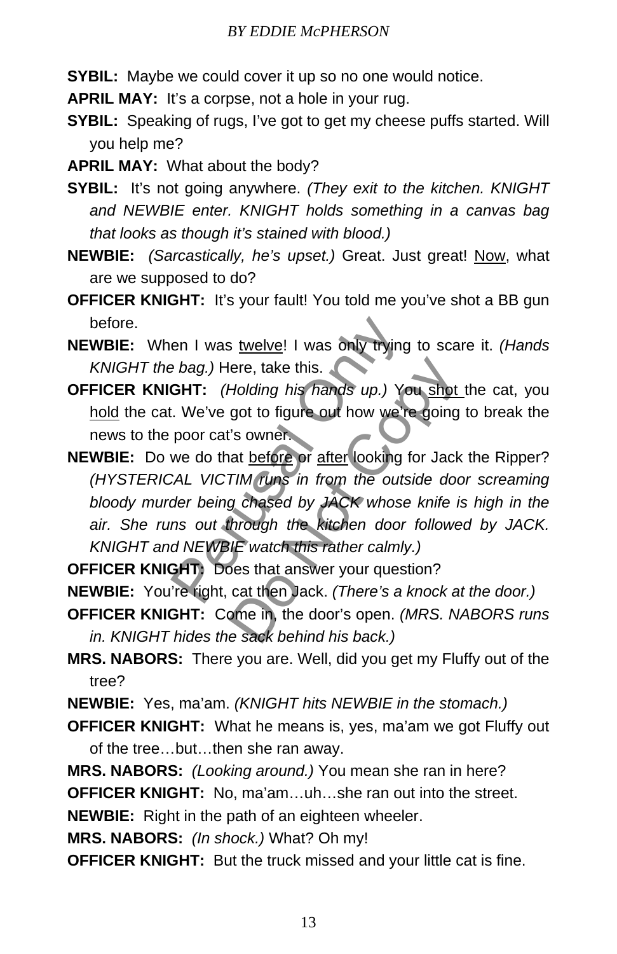- **SYBIL:** Maybe we could cover it up so no one would notice.
- **APRIL MAY:** It's a corpse, not a hole in your rug.
- **SYBIL:** Speaking of rugs, I've got to get my cheese puffs started. Will you help me?
- **APRIL MAY:** What about the body?
- **SYBIL:** It's not going anywhere. *(They exit to the kitchen. KNIGHT and NEWBIE enter. KNIGHT holds something in a canvas bag that looks as though it's stained with blood.)*
- **NEWBIE:** *(Sarcastically, he's upset.)* Great. Just great! Now, what are we supposed to do?
- **OFFICER KNIGHT:** It's your fault! You told me you've shot a BB gun before.
- **NEWBIE:** When I was twelve! I was only trying to scare it. *(Hands KNIGHT the bag.)* Here, take this.
- **OFFICER KNIGHT:** *(Holding his hands up.)* You shot the cat, you hold the cat. We've got to figure out how we're going to break the news to the poor cat's owner.
- **NEWBIE:** Do we do that before or after looking for Jack the Ripper? *(HYSTERICAL VICTIM runs in from the outside door screaming bloody murder being chased by JACK whose knife is high in the air. She runs out through the kitchen door followed by JACK. KNIGHT and NEWBIE watch this rather calmly.)* en I was twelve! I was only trying to bag.) Here, take this.<br> **GHT:** (Holding his hands up.) You<br>
.. We've got to figure out how we're<br>
poor cat's owner.<br>
we do that before or after looking fo<br>
CAL VICTIM runs in from the ere, take this.<br>Holding his hands up.) You shot<br>got to figure out how we're going<br>"s owner.<br>at before or after looking for Jack<br>TIM runs in from the outside door<br>g chased by JACK whose knife is<br>through the kitchen door fol
- **OFFICER KNIGHT:** Does that answer your question?
- **NEWBIE:** You're right, cat then Jack. *(There's a knock at the door.)*
- **OFFICER KNIGHT:** Come in, the door's open. *(MRS. NABORS runs in. KNIGHT hides the sack behind his back.)*
- **MRS. NABORS:** There you are. Well, did you get my Fluffy out of the tree?
- **NEWBIE:** Yes, ma'am. *(KNIGHT hits NEWBIE in the stomach.)*
- **OFFICER KNIGHT:** What he means is, yes, ma'am we got Fluffy out of the tree…but…then she ran away.
- **MRS. NABORS:** *(Looking around.)* You mean she ran in here?

**OFFICER KNIGHT:** No, ma'am…uh…she ran out into the street.

**NEWBIE:** Right in the path of an eighteen wheeler.

**MRS. NABORS:** *(In shock.)* What? Oh my!

**OFFICER KNIGHT:** But the truck missed and your little cat is fine.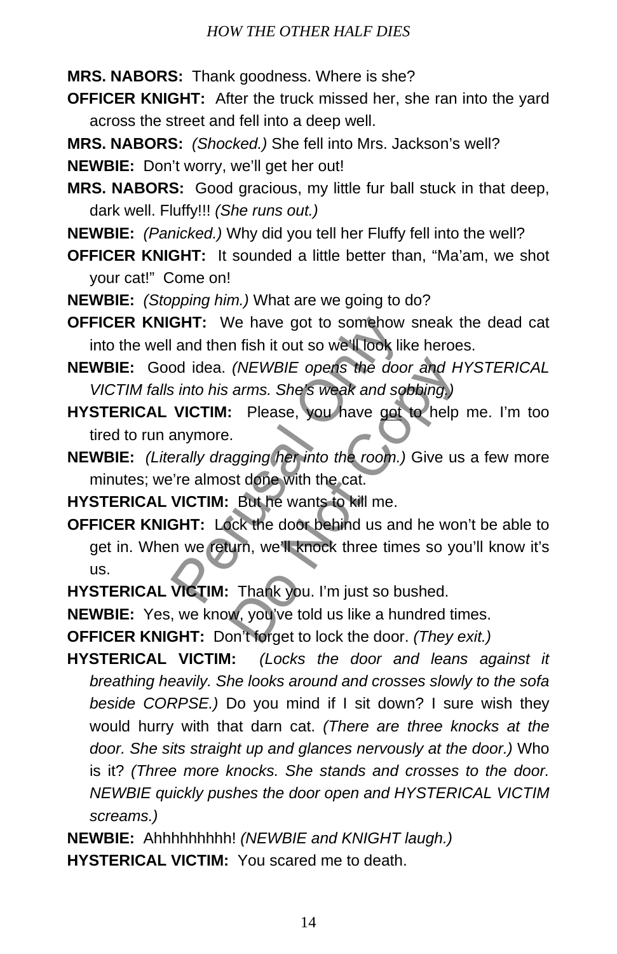**MRS. NABORS:** Thank goodness. Where is she?

- **OFFICER KNIGHT:** After the truck missed her, she ran into the yard across the street and fell into a deep well.
- **MRS. NABORS:** *(Shocked.)* She fell into Mrs. Jackson's well?

**NEWBIE:** Don't worry, we'll get her out!

- **MRS. NABORS:** Good gracious, my little fur ball stuck in that deep, dark well. Fluffy!!! *(She runs out.)*
- **NEWBIE:** *(Panicked.)* Why did you tell her Fluffy fell into the well?
- **OFFICER KNIGHT:** It sounded a little better than, "Ma'am, we shot your cat!" Come on!
- **NEWBIE:** *(Stopping him.)* What are we going to do?
- **OFFICER KNIGHT:** We have got to somehow sneak the dead cat into the well and then fish it out so we'll look like heroes.
- **NEWBIE:** Good idea. *(NEWBIE opens the door and HYSTERICAL VICTIM falls into his arms. She's weak and sobbing.)*
- **HYSTERICAL VICTIM:** Please, you have got to help me. I'm too tired to run anymore.
- **NEWBIE:** *(Literally dragging her into the room.)* Give us a few more minutes; we're almost done with the cat.
- **HYSTERICAL VICTIM:** But he wants to kill me.
- **OFFICER KNIGHT:** Lock the door behind us and he won't be able to get in. When we return, we'll knock three times so you'll know it's us. **GHT:** We have got to somehow si<br>and then fish it out so we'll look like<br>od idea. (*NEWBIE opens the door*<br>*s into his arms. She's weak and sobt*<br>**VICTIM:** Please, you have got to<br>anymore.<br>*erally dragging her into the roo* Do Not Copy
- **HYSTERICAL VICTIM:** Thank you. I'm just so bushed.

**NEWBIE:** Yes, we know, you've told us like a hundred times.

**OFFICER KNIGHT:** Don't forget to lock the door. *(They exit.)*

**HYSTERICAL VICTIM:** *(Locks the door and leans against it breathing heavily. She looks around and crosses slowly to the sofa beside CORPSE.)* Do you mind if I sit down? I sure wish they would hurry with that darn cat. *(There are three knocks at the door. She sits straight up and glances nervously at the door.)* Who is it? *(Three more knocks. She stands and crosses to the door. NEWBIE quickly pushes the door open and HYSTERICAL VICTIM screams.)*

**NEWBIE:** Ahhhhhhhhh! *(NEWBIE and KNIGHT laugh.)* **HYSTERICAL VICTIM:** You scared me to death.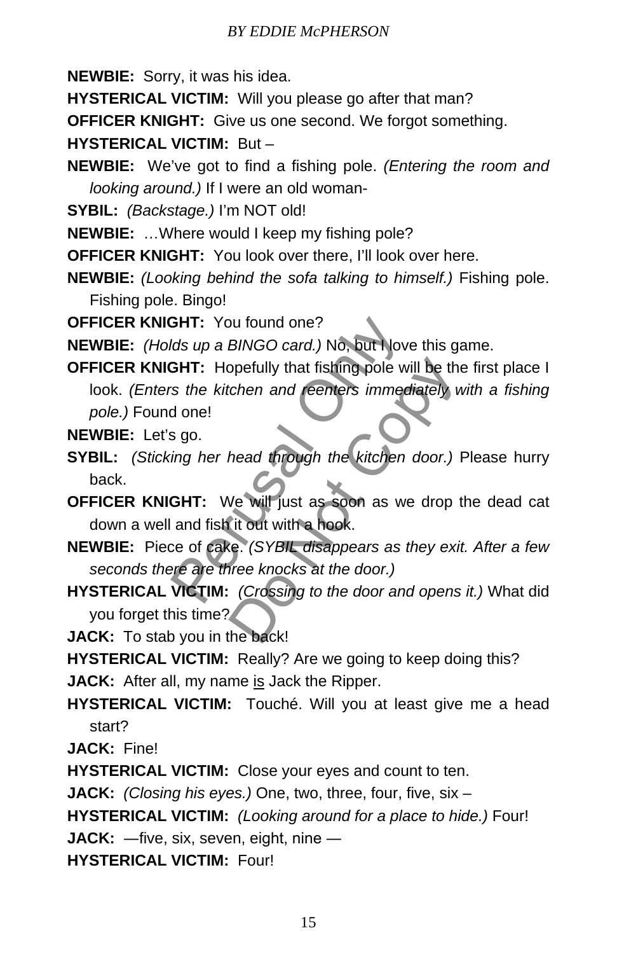**NEWBIE:** Sorry, it was his idea.

**HYSTERICAL VICTIM:** Will you please go after that man?

**OFFICER KNIGHT:** Give us one second. We forgot something.

**HYSTERICAL VICTIM:** But –

**NEWBIE:** We've got to find a fishing pole. *(Entering the room and looking around.)* If I were an old woman-

**SYBIL:** *(Backstage.)* I'm NOT old!

**NEWBIE:** …Where would I keep my fishing pole?

**OFFICER KNIGHT:** You look over there, I'll look over here.

**NEWBIE:** *(Looking behind the sofa talking to himself.)* Fishing pole. Fishing pole. Bingo!

**OFFICER KNIGHT:** You found one?

**NEWBIE:** *(Holds up a BINGO card.)* No, but I love this game.

**OFFICER KNIGHT:** Hopefully that fishing pole will be the first place I look. *(Enters the kitchen and reenters immediately with a fishing pole.)* Found one! **GHT:** You found one?<br>
Ids up a BINGO card.) No, but Nove<br> **GHT:** Hopefully that fishing pole will<br>
is the kitchen and **reenters** immedia<br>
ing her head through the kitchen of<br> **GHT:** We will just as soon as we<br>
and fish it ppefully that fishing pole will be the<br>
tohen and reenters immediately v<br>
head through the kitchen door.)<br>
Ne will just as soon as we drop t<br>
it out with a hook.<br>
Re. (SYBIL disappears as they eximple knocks at the door.)<br>

**NEWBIE:** Let's go.

**SYBIL:** *(Sticking her head through the kitchen door.)* Please hurry back.

**OFFICER KNIGHT:** We will just as soon as we drop the dead cat down a well and fish it out with a hook.

**NEWBIE:** Piece of cake. *(SYBIL disappears as they exit. After a few seconds there are three knocks at the door.)*

**HYSTERICAL VICTIM:** *(Crossing to the door and opens it.)* What did you forget this time?

**JACK:** To stab you in the back!

**HYSTERICAL VICTIM:** Really? Are we going to keep doing this?

**JACK:** After all, my name is Jack the Ripper.

**HYSTERICAL VICTIM:** Touché. Will you at least give me a head start?

**JACK:** Fine!

**HYSTERICAL VICTIM:** Close your eyes and count to ten.

**JACK:** *(Closing his eyes.)* One, two, three, four, five, six –

**HYSTERICAL VICTIM:** *(Looking around for a place to hide.)* Four!

**JACK:** ―five, six, seven, eight, nine ―

**HYSTERICAL VICTIM:** Four!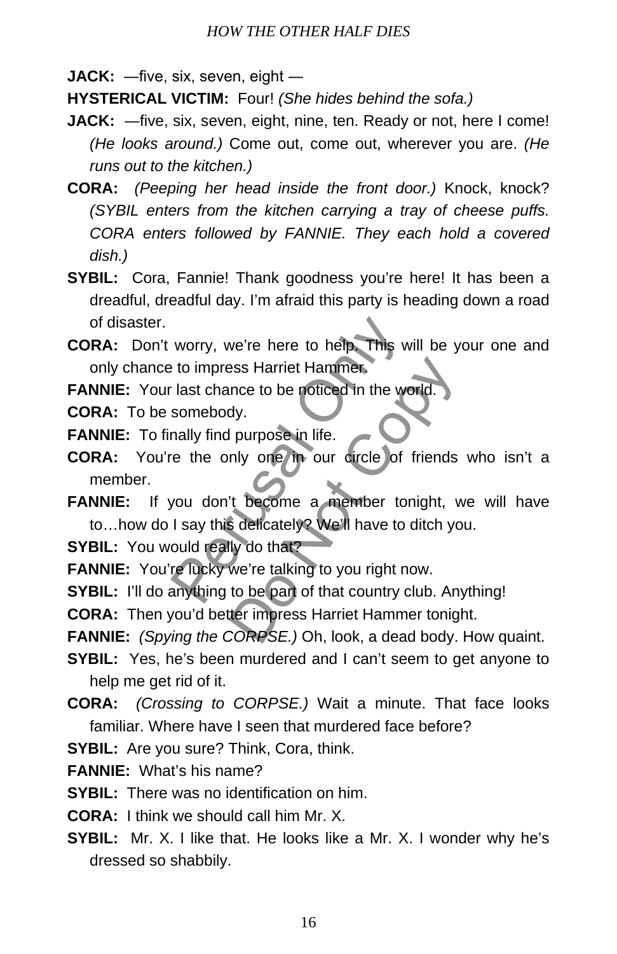**JACK:** ―five, six, seven, eight ―

**HYSTERICAL VICTIM:** Four! *(She hides behind the sofa.)*

- **JACK:** —five, six, seven, eight, nine, ten. Ready or not, here I come! *(He looks around.)* Come out, come out, wherever you are. *(He runs out to the kitchen.)*
- **CORA:** *(Peeping her head inside the front door.)* Knock, knock? *(SYBIL enters from the kitchen carrying a tray of cheese puffs. CORA enters followed by FANNIE. They each hold a covered dish.)*
- **SYBIL:** Cora, Fannie! Thank goodness you're here! It has been a dreadful, dreadful day. I'm afraid this party is heading down a road of disaster.
- **CORA:** Don't worry, we're here to help. This will be your one and only chance to impress Harriet Hammer. worry, we're here to help. This will<br>to impress Harriet Hammer.<br>last chance to be noticed in the word<br>somebody.<br>mally find purpose in life.<br>re the only one in our circle of fr<br>you don't become a member toni<br>I say this deli

**FANNIE:** Your last chance to be noticed in the world.

**CORA:** To be somebody.

**FANNIE:** To finally find purpose in life.

- **CORA:** You're the only one in our circle of friends who isn't a member.
- **FANNIE:** If you don't become a member tonight, we will have to…how do I say this delicately? We'll have to ditch you. The Hammer,<br>the to be noticed in the world.<br>dy.<br>I purpose in life.<br>Inly one in our circle of friends<br>it become a member tonight, we<br>deficately? We'll have to ditch you<br>ly do that?<br>we're talking to you right now.<br>to be part

**SYBIL:** You would really do that?

FANNIE: You're lucky we're talking to you right now.

**SYBIL:** I'll do anything to be part of that country club. Anything!

**CORA:** Then you'd better impress Harriet Hammer tonight.

**FANNIE:** *(Spying the CORPSE.)* Oh, look, a dead body. How quaint.

- **SYBIL:** Yes, he's been murdered and I can't seem to get anyone to help me get rid of it.
- **CORA:** *(Crossing to CORPSE.)* Wait a minute. That face looks familiar. Where have I seen that murdered face before?

**SYBIL:** Are you sure? Think, Cora, think.

**FANNIE:** What's his name?

**SYBIL:** There was no identification on him.

**CORA:** I think we should call him Mr. X.

**SYBIL:** Mr. X. I like that. He looks like a Mr. X. I wonder why he's dressed so shabbily.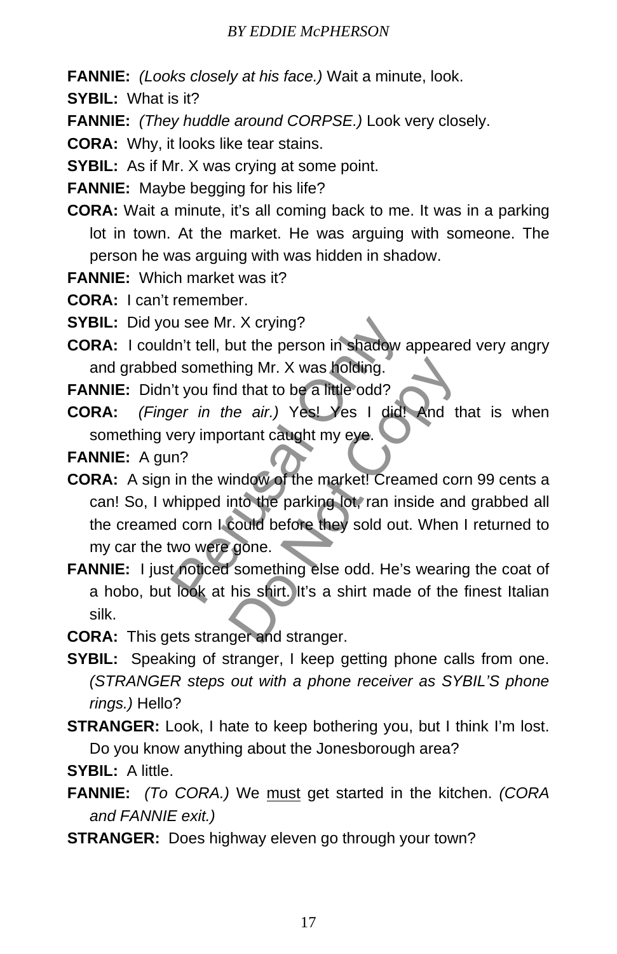- **FANNIE:** *(Looks closely at his face.)* Wait a minute, look.
- **SYBIL:** What is it?
- **FANNIE:** *(They huddle around CORPSE.)* Look very closely.
- **CORA:** Why, it looks like tear stains.
- **SYBIL:** As if Mr. X was crying at some point.

**FANNIE:** Maybe begging for his life?

- **CORA:** Wait a minute, it's all coming back to me. It was in a parking lot in town. At the market. He was arguing with someone. The person he was arguing with was hidden in shadow.
- **FANNIE:** Which market was it?

**CORA:** I can't remember.

**SYBIL:** Did you see Mr. X crying?

**CORA:** I couldn't tell, but the person in shadow appeared very angry and grabbed something Mr. X was holding.

FANNIE: Didn't you find that to be a little odd?

**CORA:** *(Finger in the air.)* Yes! Yes I did! And that is when something very important caught my eye.

**FANNIE:** A gun?

- **CORA:** A sign in the window of the market! Creamed corn 99 cents a can! So, I whipped into the parking lot, ran inside and grabbed all the creamed corn I could before they sold out. When I returned to my car the two were gone. u see Mr. X crying?<br>
In't tell, but the person in shadow ap<br>
d something Mr. X was holding.<br>
't you find that to be a little odd?<br>
yer in the air.) Yes! Yes 1 did!<br>
yer in the air.) Yes! Yes 1 did!<br>
yer in the air.) Yes! Y ning Mr. X was holding.<br>
d that to be a little odd?<br>
he air.) Yes! Yes I did! And the price air.) Yes! Yes I did! And the price of the market! Creamed control the parking lot, ran inside and<br>
could before they sold out. Wh
- **FANNIE:** I just noticed something else odd. He's wearing the coat of a hobo, but look at his shirt. It's a shirt made of the finest Italian silk.
- **CORA:** This gets stranger and stranger.
- **SYBIL:** Speaking of stranger, I keep getting phone calls from one. *(STRANGER steps out with a phone receiver as SYBIL'S phone rings.)* Hello?
- **STRANGER:** Look, I hate to keep bothering you, but I think I'm lost. Do you know anything about the Jonesborough area?

**SYBIL:** A little.

- **FANNIE:** *(To CORA.)* We must get started in the kitchen. *(CORA and FANNIE exit.)*
- **STRANGER:** Does highway eleven go through your town?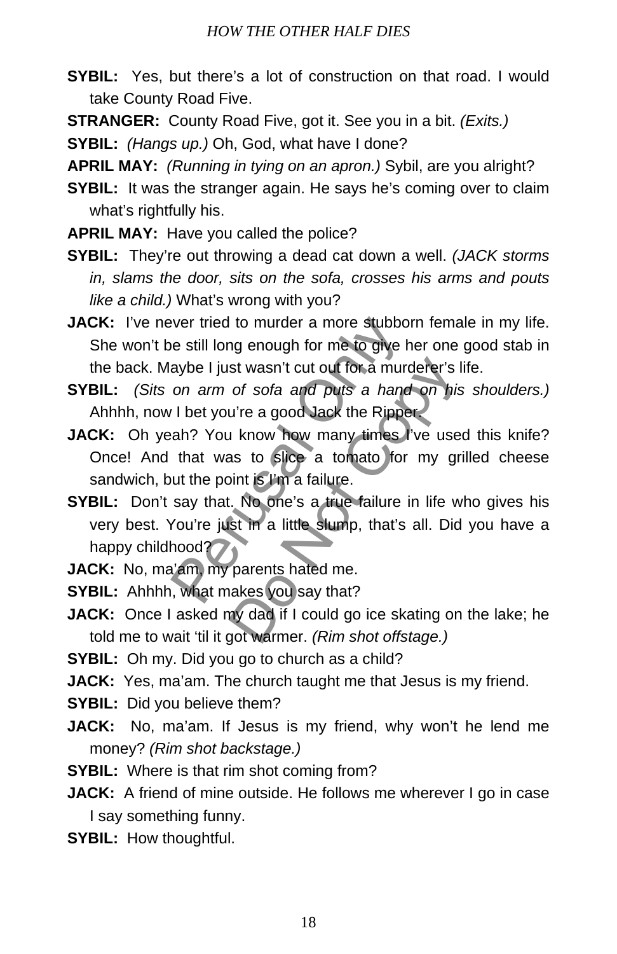- **SYBIL:** Yes, but there's a lot of construction on that road. I would take County Road Five.
- **STRANGER:** County Road Five, got it. See you in a bit. *(Exits.)*
- **SYBIL:** *(Hangs up.)* Oh, God, what have I done?
- **APRIL MAY:** *(Running in tying on an apron.)* Sybil, are you alright?
- **SYBIL:** It was the stranger again. He says he's coming over to claim what's rightfully his.
- **APRIL MAY:** Have you called the police?
- **SYBIL:** They're out throwing a dead cat down a well. *(JACK storms in, slams the door, sits on the sofa, crosses his arms and pouts like a child.)* What's wrong with you?
- **JACK:** I've never tried to murder a more stubborn female in my life. She won't be still long enough for me to give her one good stab in the back. Maybe I just wasn't cut out for a murderer's life.
- **SYBIL:** *(Sits on arm of sofa and puts a hand on his shoulders.)* Ahhhh, now I bet you're a good Jack the Ripper.
- **JACK:** Oh yeah? You know how many times I've used this knife? Once! And that was to slice a tomato for my grilled cheese sandwich, but the point is I'm a failure. wer tried to murder a more stubborn<br>
e still long enough for me to give he<br>
aybe I just wasn't cut out for a murde<br>
on arm of sofa and puts a hand<br>
1 bet you're a good Jack the Ripper,<br>
ah? You know how many times I'v<br>
tha st wasn't cut out for a murderer's l<br>of sofa and puts a hand on his<br>u're a good Jack the Ripper<br>i know how many times I've use<br>as to slice a tomato for my gr<br>int is I'm a failure.<br>i.. No one's a true failure in life w<br>st i
- **SYBIL:** Don't say that. No one's a true failure in life who gives his very best. You're just in a little slump, that's all. Did you have a happy childhood?
- **JACK:** No, ma'am, my parents hated me.
- **SYBIL:** Ahhhh, what makes you say that?
- **JACK:** Once I asked my dad if I could go ice skating on the lake; he told me to wait 'til it got warmer. *(Rim shot offstage.)*
- **SYBIL:** Oh my. Did you go to church as a child?
- **JACK:** Yes, ma'am. The church taught me that Jesus is my friend.
- **SYBIL:** Did you believe them?
- **JACK:** No, ma'am. If Jesus is my friend, why won't he lend me money? *(Rim shot backstage.)*
- **SYBIL:** Where is that rim shot coming from?
- **JACK:** A friend of mine outside. He follows me wherever I go in case I say something funny.
- **SYBIL:** How thoughtful.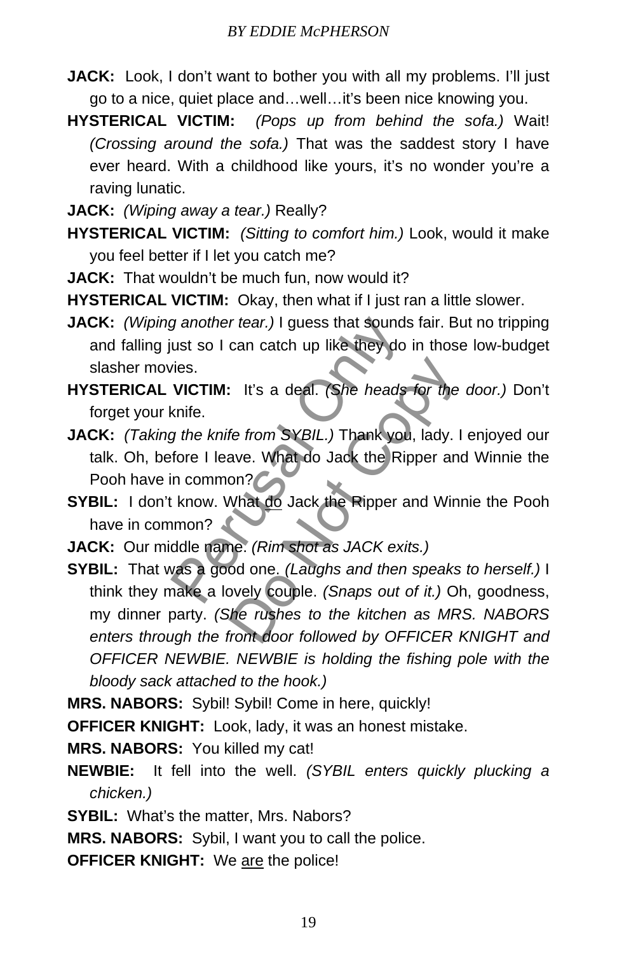- **JACK:** Look, I don't want to bother you with all my problems. I'll just go to a nice, quiet place and…well…it's been nice knowing you.
- **HYSTERICAL VICTIM:** *(Pops up from behind the sofa.)* Wait! *(Crossing around the sofa.)* That was the saddest story I have ever heard. With a childhood like yours, it's no wonder you're a raving lunatic.
- **JACK:** *(Wiping away a tear.)* Really?
- **HYSTERICAL VICTIM:** *(Sitting to comfort him.)* Look, would it make you feel better if I let you catch me?
- **JACK:** That wouldn't be much fun, now would it?
- **HYSTERICAL VICTIM:** Okay, then what if I just ran a little slower.
- **JACK:** *(Wiping another tear.)* I guess that sounds fair. But no tripping and falling just so I can catch up like they do in those low-budget slasher movies.
- **HYSTERICAL VICTIM:** It's a deal. *(She heads for the door.)* Don't forget your knife.
- **JACK:** *(Taking the knife from SYBIL.)* Thank you, lady. I enjoyed our talk. Oh, before I leave. What do Jack the Ripper and Winnie the Pooh have in common? g another tear.) I guess that sounds that sounds that so I can catch up like they do in<br>ties.<br>VICTIM: It's a deal. (She heads faith:<br>knife.<br>g the knife from SYBIL.) Thank you,<br>fore I leave. What do Jack the Ripper an<br>incom
- **SYBIL:** I don't know. What do Jack the Ripper and Winnie the Pooh have in common?
- **JACK:** Our middle name. *(Rim shot as JACK exits.)*
- **SYBIL:** That was a good one. *(Laughs and then speaks to herself.)* I think they make a lovely couple. *(Snaps out of it.)* Oh, goodness, my dinner party. *(She rushes to the kitchen as MRS. NABORS enters through the front door followed by OFFICER KNIGHT and OFFICER NEWBIE. NEWBIE is holding the fishing pole with the bloody sack attached to the hook.)* It's a deal. (She heads for the<br>fe from SYBIL.) Thank you, lady. I<br>ave. What do Jack the Ripper and<br>on?<br>What <u>do</u> Jack the Ripper and Win<br>ne. (Rim shot as JACK exits.)<br>od one. (Laughs and then speaks<br>ovely couple. (Snaps o

**MRS. NABORS:** Sybil! Sybil! Come in here, quickly!

**OFFICER KNIGHT:** Look, lady, it was an honest mistake.

**MRS. NABORS:** You killed my cat!

- **NEWBIE:** It fell into the well. *(SYBIL enters quickly plucking a chicken.)*
- **SYBIL:** What's the matter, Mrs. Nabors?

**MRS. NABORS:** Sybil, I want you to call the police.

**OFFICER KNIGHT:** We are the police!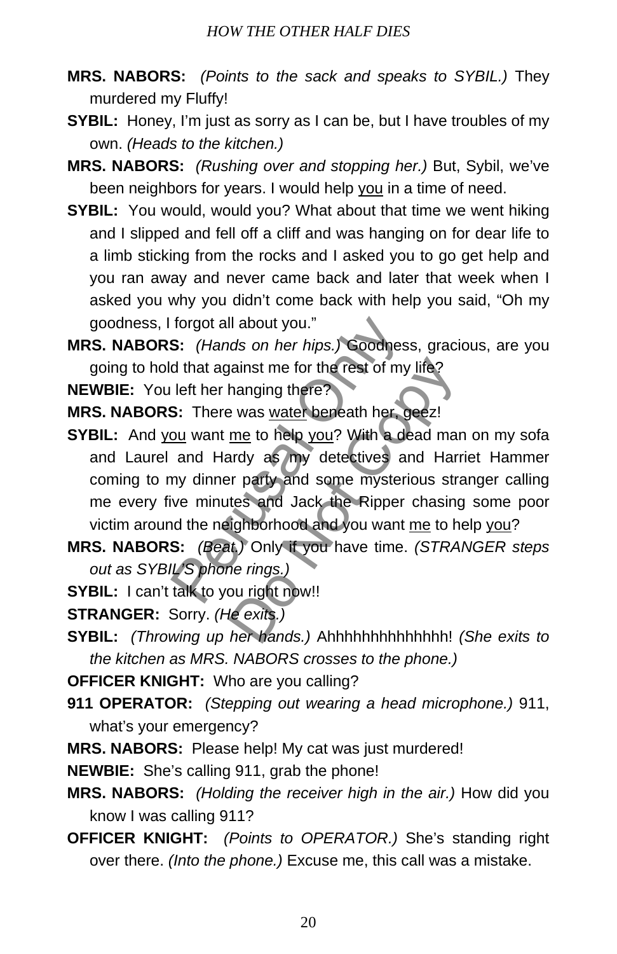- **MRS. NABORS:** *(Points to the sack and speaks to SYBIL.)* They murdered my Fluffy!
- **SYBIL:** Honey, I'm just as sorry as I can be, but I have troubles of my own. *(Heads to the kitchen.)*
- **MRS. NABORS:** *(Rushing over and stopping her.)* But, Sybil, we've been neighbors for years. I would help you in a time of need.
- **SYBIL:** You would, would you? What about that time we went hiking and I slipped and fell off a cliff and was hanging on for dear life to a limb sticking from the rocks and I asked you to go get help and you ran away and never came back and later that week when I asked you why you didn't come back with help you said, "Oh my goodness, I forgot all about you."
- **MRS. NABORS:** *(Hands on her hips.)* Goodness, gracious, are you going to hold that against me for the rest of my life?

**NEWBIE:** You left her hanging there?

**MRS. NABORS:** There was water beneath her, geez!

- **SYBIL:** And you want me to help you? With a dead man on my sofa and Laurel and Hardy as my detectives and Harriet Hammer coming to my dinner party and some mysterious stranger calling me every five minutes and Jack the Ripper chasing some poor victim around the neighborhood and you want me to help you? S: (Hands on her hips.) Goodness,<br>
S: (Hands on her hips.) Goodness,<br>
d that against me for the rest of my lifere the rest of my lifere.<br>
S: There was <u>water</u> beneath her, ge<br>
<u>ou</u> want <u>me</u> to help you? With a dea<br>
and H painst me for the rest of my life?<br>
Example the rest of my life?<br>
Example the Notarce Section of the Rest of Marty as my detectives and Harn<br>
Painty as my detectives and Harn<br>
The painty and some mysterious strates and Jac
- **MRS. NABORS:** *(Beat.)* Only if you have time. *(STRANGER steps out as SYBIL'S phone rings.)*
- **SYBIL:** I can't talk to you right now!!
- **STRANGER:** Sorry. *(He exits.)*
- **SYBIL:** *(Throwing up her hands.)* Ahhhhhhhhhhhhhh! *(She exits to the kitchen as MRS. NABORS crosses to the phone.)*
- **OFFICER KNIGHT:** Who are you calling?
- **911 OPERATOR:** *(Stepping out wearing a head microphone.)* 911, what's your emergency?
- **MRS. NABORS:** Please help! My cat was just murdered!
- **NEWBIE:** She's calling 911, grab the phone!
- **MRS. NABORS:** *(Holding the receiver high in the air.)* How did you know I was calling 911?
- **OFFICER KNIGHT:** *(Points to OPERATOR.)* She's standing right over there. *(Into the phone.)* Excuse me, this call was a mistake.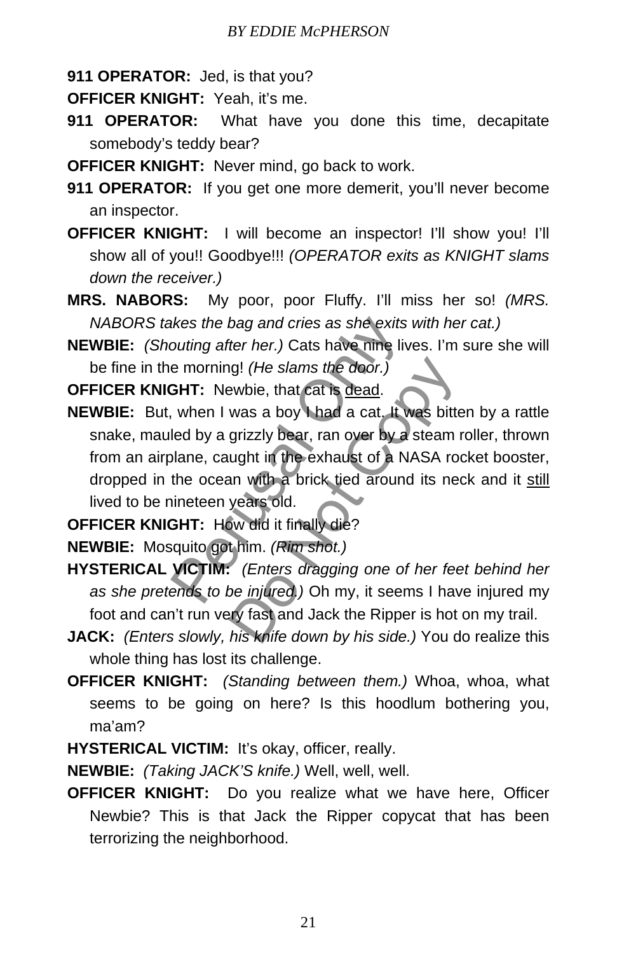**911 OPERATOR:** Jed, is that you?

**OFFICER KNIGHT:** Yeah, it's me.

- **911 OPERATOR:** What have you done this time, decapitate somebody's teddy bear?
- **OFFICER KNIGHT:** Never mind, go back to work.
- **911 OPERATOR:** If you get one more demerit, you'll never become an inspector.
- **OFFICER KNIGHT:** I will become an inspector! I'll show you! I'll show all of you!! Goodbye!!! *(OPERATOR exits as KNIGHT slams down the receiver.)*
- **MRS. NABORS:** My poor, poor Fluffy. I'll miss her so! *(MRS. NABORS takes the bag and cries as she exits with her cat.)*
- **NEWBIE:** *(Shouting after her.)* Cats have nine lives. I'm sure she will be fine in the morning! *(He slams the door.)*

**OFFICER KNIGHT:** Newbie, that cat is dead.

- **NEWBIE:** But, when I was a boy I had a cat. It was bitten by a rattle snake, mauled by a grizzly bear, ran over by a steam roller, thrown from an airplane, caught in the exhaust of a NASA rocket booster, dropped in the ocean with a brick tied around its neck and it still lived to be nineteen years old. ikes the bag and cries as she exits w<br>puting after her.) Cats have nine live<br>e morning! (He slams the door.)<br>**GHT:** Newbie, that cat is <u>dead</u>.<br>when I was a boy I had a cat. It we<br>led by a grizzly bear, ran over by a s<br>pla ig! (He slams the door.)<br>
ewbie, that cat is <u>dead</u>.<br>
was a boy I had a cat, It was bitte<br>
grizzly bear, ran over by a steam if<br>
ught in the exhaust of a NASA root<br>
an with a brick tied around its nee<br>
years old.<br>
we did i
- **OFFICER KNIGHT:** How did it finally die?

**NEWBIE:** Mosquito got him. *(Rim shot.)*

- **HYSTERICAL VICTIM:** *(Enters dragging one of her feet behind her as she pretends to be injured.)* Oh my, it seems I have injured my foot and can't run very fast and Jack the Ripper is hot on my trail.
- **JACK:** *(Enters slowly, his knife down by his side.)* You do realize this whole thing has lost its challenge.
- **OFFICER KNIGHT:** *(Standing between them.)* Whoa, whoa, what seems to be going on here? Is this hoodlum bothering you, ma'am?
- **HYSTERICAL VICTIM:** It's okay, officer, really.

**NEWBIE:** *(Taking JACK'S knife.)* Well, well, well.

**OFFICER KNIGHT:** Do you realize what we have here, Officer Newbie? This is that Jack the Ripper copycat that has been terrorizing the neighborhood.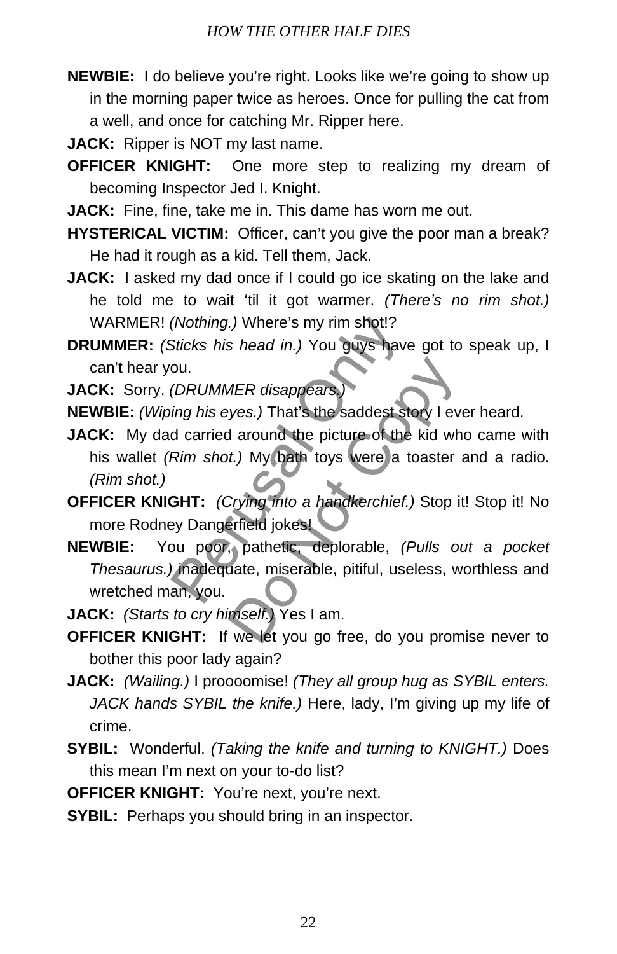- **NEWBIE:** I do believe you're right. Looks like we're going to show up in the morning paper twice as heroes. Once for pulling the cat from a well, and once for catching Mr. Ripper here.
- **JACK:** Ripper is NOT my last name.
- **OFFICER KNIGHT:** One more step to realizing my dream of becoming Inspector Jed I. Knight.
- **JACK:** Fine, fine, take me in. This dame has worn me out.
- **HYSTERICAL VICTIM:** Officer, can't you give the poor man a break? He had it rough as a kid. Tell them, Jack.
- **JACK:** I asked my dad once if I could go ice skating on the lake and he told me to wait 'til it got warmer. *(There's no rim shot.)* WARMER! *(Nothing.)* Where's my rim shot!?
- **DRUMMER:** *(Sticks his head in.)* You guys have got to speak up, I can't hear you.
- **JACK:** Sorry. *(DRUMMER disappears.)*
- **NEWBIE:** *(Wiping his eyes.)* That's the saddest story I ever heard.
- **JACK:** My dad carried around the picture of the kid who came with his wallet *(Rim shot.)* My bath toys were a toaster and a radio. *(Rim shot.)* (Nothing.) Where's my rim shot!?<br>Sticks his head in.) You guys have<br>ou.<br>(DRUMMER disappears.)<br>ing his eyes.) That's the saddest sto<br>d carried around the picture of the l<br>Rim shot.) My bath toys were a to<br>GHT: (Crying into *MER disappears.*<br>
yes.) That's the saddest story I ev<br>
1 around the picture of the kid wh<br>
t.) My bath toys were a toaster<br>
Crying into a handkerchief.) Stop is<br>
strieted jokes!<br>
Strieted into a handkerchief.) Stop is<br>
st
- **OFFICER KNIGHT:** *(Crying into a handkerchief.)* Stop it! Stop it! No more Rodney Dangerfield jokes!
- **NEWBIE:** You poor, pathetic, deplorable, *(Pulls out a pocket Thesaurus.)* inadequate, miserable, pitiful, useless, worthless and wretched man, you.
- **JACK:** *(Starts to cry himself.)* Yes I am.
- **OFFICER KNIGHT:** If we let you go free, do you promise never to bother this poor lady again?
- **JACK:** *(Wailing.)* I proooomise! *(They all group hug as SYBIL enters. JACK hands SYBIL the knife.)* Here, lady, I'm giving up my life of crime.
- **SYBIL:** Wonderful. *(Taking the knife and turning to KNIGHT.)* Does this mean I'm next on your to-do list?
- **OFFICER KNIGHT:** You're next, you're next.
- **SYBIL:** Perhaps you should bring in an inspector.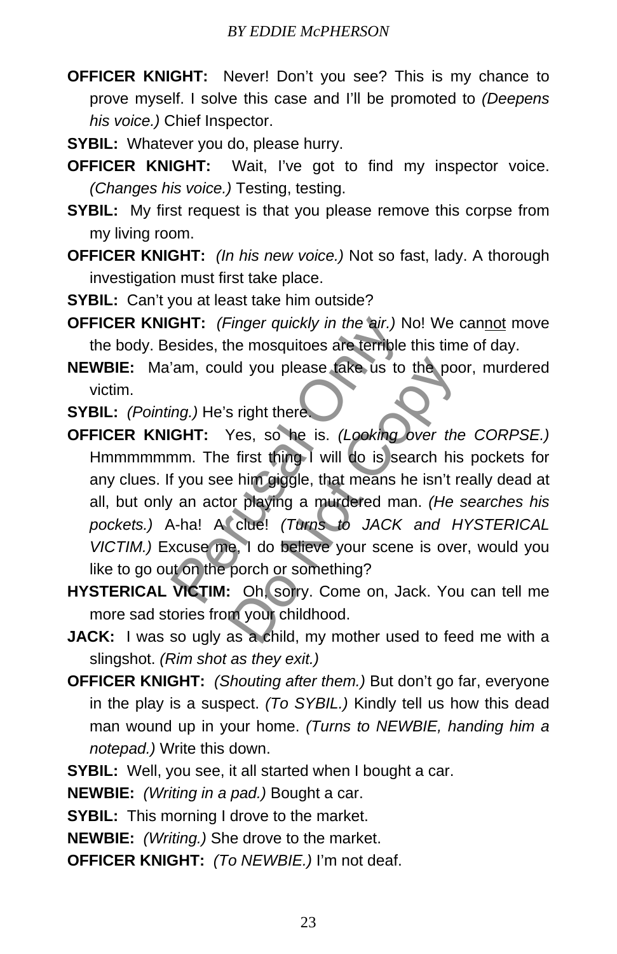- **OFFICER KNIGHT:** Never! Don't you see? This is my chance to prove myself. I solve this case and I'll be promoted to *(Deepens his voice.)* Chief Inspector.
- **SYBIL:** Whatever you do, please hurry.
- **OFFICER KNIGHT:** Wait, I've got to find my inspector voice. *(Changes his voice.)* Testing, testing.
- **SYBIL:** My first request is that you please remove this corpse from my living room.
- **OFFICER KNIGHT:** *(In his new voice.)* Not so fast, lady. A thorough investigation must first take place.
- **SYBIL:** Can't you at least take him outside?
- **OFFICER KNIGHT:** *(Finger quickly in the air.)* No! We cannot move the body. Besides, the mosquitoes are terrible this time of day.
- **NEWBIE:** Ma'am, could you please take us to the poor, murdered victim.
- **SYBIL:** *(Pointing.)* He's right there.
- **OFFICER KNIGHT:** Yes, so he is. *(Looking over the CORPSE.)* Hmmmmmmm. The first thing I will do is search his pockets for any clues. If you see him giggle, that means he isn't really dead at all, but only an actor playing a murdered man. *(He searches his pockets.)* A-ha! A clue! *(Turns to JACK and HYSTERICAL VICTIM.)* Excuse me, I do believe your scene is over, would you like to go out on the porch or something? **GHT:** (Finger quickly in the air.) No<br>esides, the mosquitoes are terrible the candal only and you please take us to the<br>ing.) He's right there.<br>**GHT:** Yes, so he is. (Looking only nm. The first thing I will do is sear<br>f y Id you please take us to the poor<br>
is right there.<br>
Yes, so he is. (Looking over the<br>
first thing I will do is search his<br>
be him giggle, that means he isn't represent<br>
or playing a murdered man. (He<br>
clue! (Turns to JACK
- **HYSTERICAL VICTIM:** Oh, sorry. Come on, Jack. You can tell me more sad stories from your childhood.
- **JACK:** I was so ugly as a child, my mother used to feed me with a slingshot. *(Rim shot as they exit.)*
- **OFFICER KNIGHT:** *(Shouting after them.)* But don't go far, everyone in the play is a suspect. *(To SYBIL.)* Kindly tell us how this dead man wound up in your home. *(Turns to NEWBIE, handing him a notepad.)* Write this down.
- **SYBIL:** Well, you see, it all started when I bought a car.

**NEWBIE:** *(Writing in a pad.)* Bought a car.

**SYBIL:** This morning I drove to the market.

**NEWBIE:** *(Writing.)* She drove to the market.

**OFFICER KNIGHT:** *(To NEWBIE.)* I'm not deaf.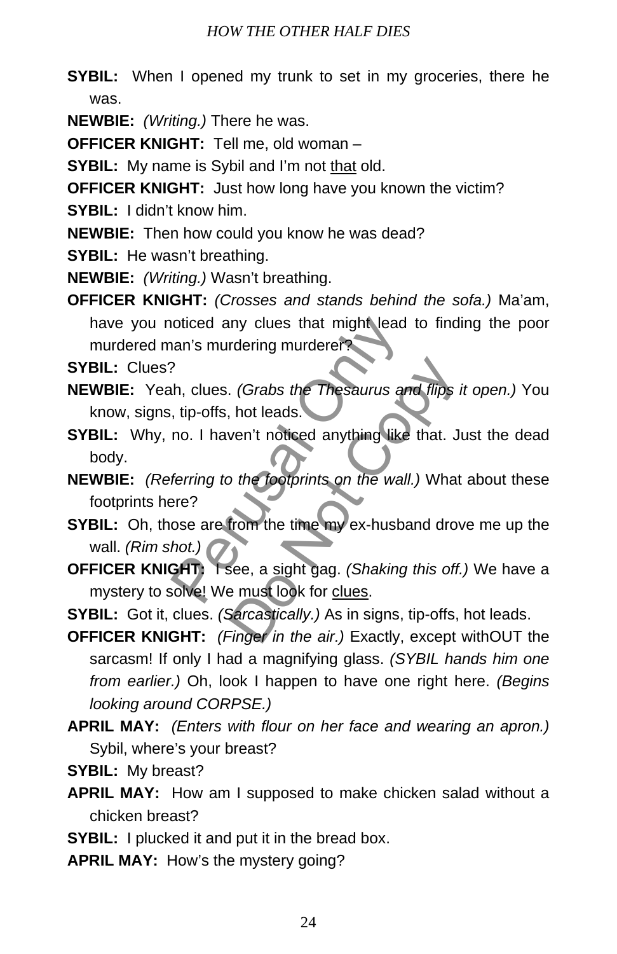- **SYBIL:** When I opened my trunk to set in my groceries, there he was.
- **NEWBIE:** *(Writing.)* There he was.
- **OFFICER KNIGHT:** Tell me, old woman –
- **SYBIL:** My name is Sybil and I'm not that old.
- **OFFICER KNIGHT:** Just how long have you known the victim?
- **SYBIL:** I didn't know him.
- **NEWBIE:** Then how could you know he was dead?
- **SYBIL:** He wasn't breathing.
- **NEWBIE:** *(Writing.)* Wasn't breathing.
- **OFFICER KNIGHT:** *(Crosses and stands behind the sofa.)* Ma'am, have you noticed any clues that might lead to finding the poor murdered man's murdering murderer?

**SYBIL:** Clues?

- **NEWBIE:** Yeah, clues. *(Grabs the Thesaurus and flips it open.)* You know, signs, tip-offs, hot leads. oticed any clues that might lead to<br>
han's murdering murdere?<br>
Ph., clues. (*Grabs the Thesaurus and*<br>
, tip-offs, hot leads.<br>
no. I haven't noticed anything like to<br>
ferring to the footprints on the wall.)<br>
Pere?<br>
ose are Compare 1.<br>
Solution of the Contract of the Saurus and flips<br>
Use that Junche that and the Wall.<br>
Use of the footprints on the wall.<br>
Use that Junche the Warden of the theory<br>
See, a sight gag. (Shaking this off.<br>
Sarcasti
- **SYBIL:** Why, no. I haven't noticed anything like that. Just the dead body.
- **NEWBIE:** *(Referring to the footprints on the wall.)* What about these footprints here?
- **SYBIL:** Oh, those are from the time my ex-husband drove me up the wall. *(Rim shot.)*
- **OFFICER KNIGHT:** I see, a sight gag. *(Shaking this off.)* We have a mystery to solve! We must look for clues.
- **SYBIL:** Got it, clues. *(Sarcastically.)* As in signs, tip-offs, hot leads.
- **OFFICER KNIGHT:** *(Finger in the air.)* Exactly, except withOUT the sarcasm! If only I had a magnifying glass. *(SYBIL hands him one from earlier.)* Oh, look I happen to have one right here. *(Begins looking around CORPSE.)*
- **APRIL MAY:** *(Enters with flour on her face and wearing an apron.)* Sybil, where's your breast?
- **SYBIL:** My breast?
- **APRIL MAY:** How am I supposed to make chicken salad without a chicken breast?
- **SYBIL:** I plucked it and put it in the bread box.
- **APRIL MAY:** How's the mystery going?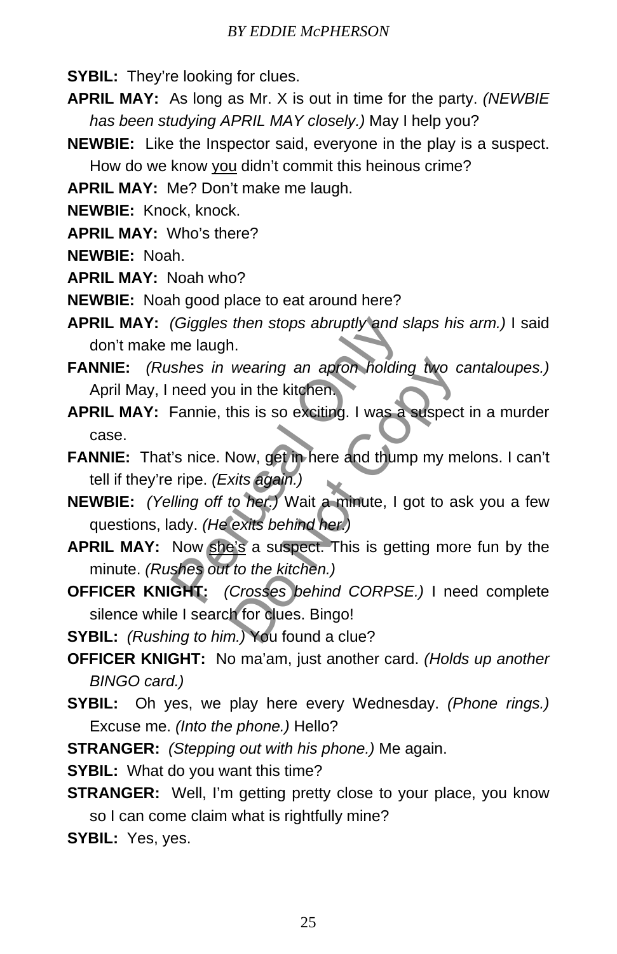- **SYBIL:** They're looking for clues.
- **APRIL MAY:** As long as Mr. X is out in time for the party. *(NEWBIE has been studying APRIL MAY closely.)* May I help you?
- **NEWBIE:** Like the Inspector said, everyone in the play is a suspect. How do we know you didn't commit this heinous crime?

**APRIL MAY:** Me? Don't make me laugh.

**NEWBIE:** Knock, knock.

**APRIL MAY:** Who's there?

**NEWBIE:** Noah.

**APRIL MAY:** Noah who?

**NEWBIE:** Noah good place to eat around here?

**APRIL MAY:** *(Giggles then stops abruptly and slaps his arm.)* I said don't make me laugh.

- **FANNIE:** *(Rushes in wearing an apron holding two cantaloupes.)* April May, I need you in the kitchen.
- **APRIL MAY:** Fannie, this is so exciting. I was a suspect in a murder case. (Giggles then stops abruptly and slame laugh.<br>
Shes in wearing an apron holding<br>
need you in the kitchen.<br>
Fannie, this is so exciting. I was a set<br>
's nice. Now, get in here and thump<br>
inpe. (Exits again.)<br>
Illing off to wearing an apron holding two c<br>
u in the kitchen.<br>
this is so exciting. I was a suspect<br>
Now, get in here and thump my m<br>
xits again.)<br>
to her.) Wait a minute, I got to as<br>
exits behind her.)<br>
a's a suspect. This is gettin
- **FANNIE:** That's nice. Now, get in here and thump my melons. I can't tell if they're ripe. *(Exits again.)*
- **NEWBIE:** *(Yelling off to her.)* Wait a minute, I got to ask you a few questions, lady. *(He exits behind her.)*
- **APRIL MAY:** Now she's a suspect. This is getting more fun by the minute. *(Rushes out to the kitchen.)*
- **OFFICER KNIGHT:** *(Crosses behind CORPSE.)* I need complete silence while I search for clues. Bingo!

**SYBIL:** *(Rushing to him.)* You found a clue?

- **OFFICER KNIGHT:** No ma'am, just another card. *(Holds up another BINGO card.)*
- **SYBIL:** Oh yes, we play here every Wednesday. *(Phone rings.)* Excuse me. *(Into the phone.)* Hello?
- **STRANGER:** *(Stepping out with his phone.)* Me again.

**SYBIL:** What do you want this time?

**STRANGER:** Well, I'm getting pretty close to your place, you know so I can come claim what is rightfully mine?

**SYBIL:** Yes, yes.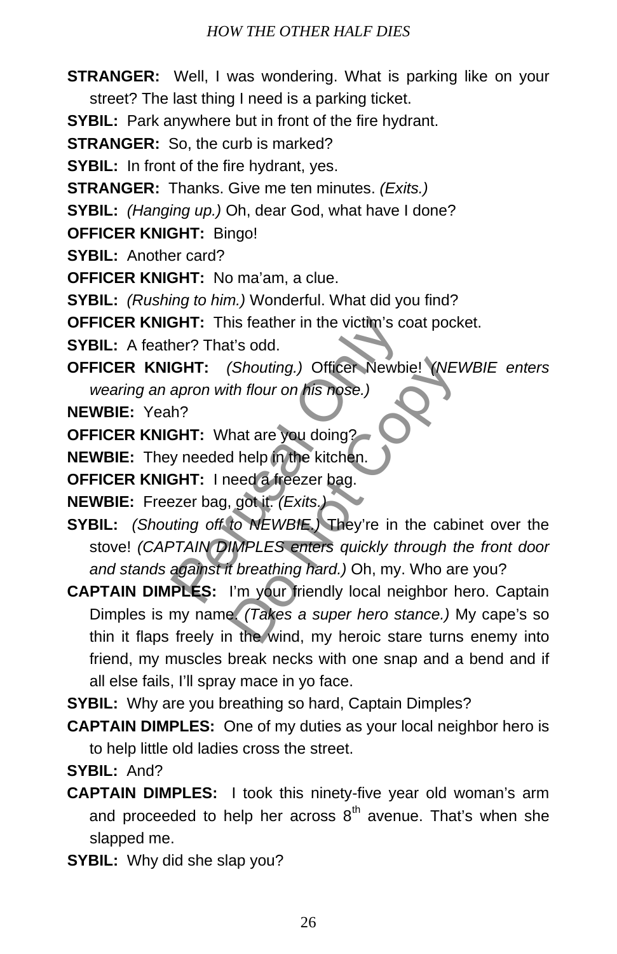- **STRANGER:** Well, I was wondering. What is parking like on your street? The last thing I need is a parking ticket.
- **SYBIL:** Park anywhere but in front of the fire hydrant.

**STRANGER:** So, the curb is marked?

**SYBIL:** In front of the fire hydrant, yes.

**STRANGER:** Thanks. Give me ten minutes. *(Exits.)*

**SYBIL:** *(Hanging up.)* Oh, dear God, what have I done?

**OFFICER KNIGHT:** Bingo!

**SYBIL:** Another card?

**OFFICER KNIGHT:** No ma'am, a clue.

**SYBIL:** *(Rushing to him.)* Wonderful. What did you find?

**OFFICER KNIGHT:** This feather in the victim's coat pocket.

**SYBIL:** A feather? That's odd.

**OFFICER KNIGHT:** *(Shouting.)* Officer Newbie! *(NEWBIE enters wearing an apron with flour on his nose.)*

**NEWBIE:** Yeah?

**OFFICER KNIGHT:** What are you doing?

**NEWBIE:** They needed help in the kitchen.

**OFFICER KNIGHT:** I need a freezer bag.

**NEWBIE:** Freezer bag, got it. *(Exits.)* 

**SYBIL:** *(Shouting off to NEWBIE.)* They're in the cabinet over the stove! *(CAPTAIN DIMPLES enters quickly through the front door and stands against it breathing hard.)* Oh, my. Who are you? **GHT:** This feather in the victim's coaner? That's odd.<br> **GHT:** (Shouting.) Officer Newbiel<br>
apron with flour on his nose.)<br>
h?<br> **GHT:** What are you doing?<br>
y needed help in the kitchen.<br> **GHT:** I need a freezer bag.<br>
py n (Shouting.) Officer Newbie! YNEI<br>
th flour on his nose.)<br>
hat are you doing?<br>
d help in the kitchen.<br>
leed a freezer bag.<br>
, got it. (Exits.)<br>
to NEWBIE. They're in the cabi<br>
IMPLES enters quickly through the threathing ha

**CAPTAIN DIMPLES:** I'm your friendly local neighbor hero. Captain Dimples is my name. *(Takes a super hero stance.)* My cape's so thin it flaps freely in the wind, my heroic stare turns enemy into friend, my muscles break necks with one snap and a bend and if all else fails, I'll spray mace in yo face.

**SYBIL:** Why are you breathing so hard, Captain Dimples?

**CAPTAIN DIMPLES:** One of my duties as your local neighbor hero is to help little old ladies cross the street.

**SYBIL:** And?

- **CAPTAIN DIMPLES:** I took this ninety-five year old woman's arm and proceeded to help her across  $8<sup>th</sup>$  avenue. That's when she slapped me.
- **SYBIL:** Why did she slap you?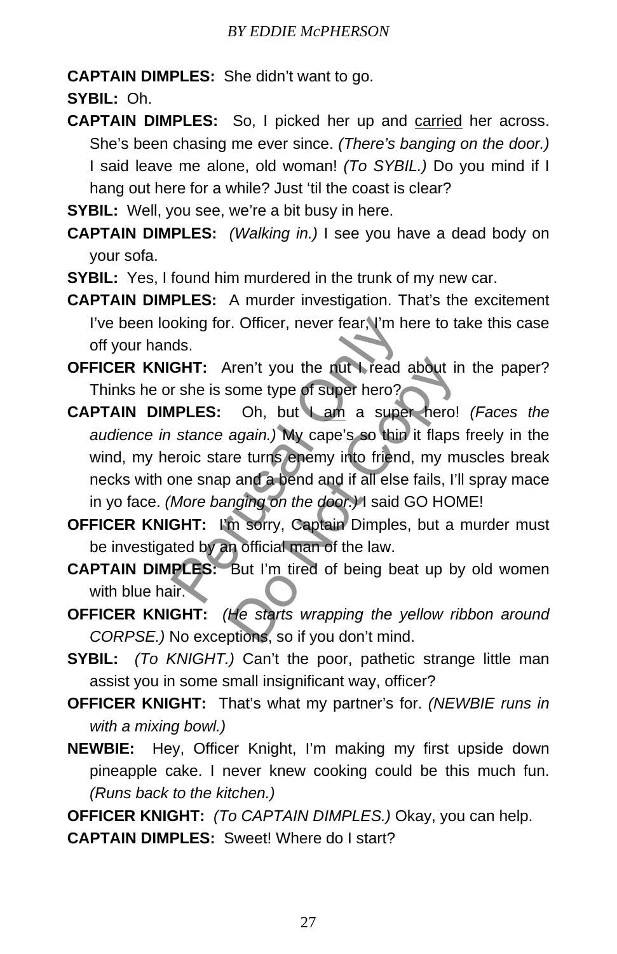**CAPTAIN DIMPLES:** She didn't want to go.

**SYBIL:** Oh.

**CAPTAIN DIMPLES:** So, I picked her up and carried her across. She's been chasing me ever since. *(There's banging on the door.)* I said leave me alone, old woman! *(To SYBIL.)* Do you mind if I hang out here for a while? Just 'til the coast is clear?

**SYBIL:** Well, you see, we're a bit busy in here.

- **CAPTAIN DIMPLES:** *(Walking in.)* I see you have a dead body on your sofa.
- **SYBIL:** Yes, I found him murdered in the trunk of my new car.
- **CAPTAIN DIMPLES:** A murder investigation. That's the excitement I've been looking for. Officer, never fear, I'm here to take this case off your hands.
- **OFFICER KNIGHT:** Aren't you the nut I read about in the paper? Thinks he or she is some type of super hero?
- **CAPTAIN DIMPLES:** Oh, but I am a super hero! *(Faces the audience in stance again.)* My cape's so thin it flaps freely in the wind, my heroic stare turns enemy into friend, my muscles break necks with one snap and a bend and if all else fails, I'll spray mace in yo face. *(More banging on the door.)* I said GO HOME! oking for. Officer, never fear, I'm her<br>ds.<br>**GHT:** Aren't you the nut I read at<br>r she is some type of super hero?<br>**IPLES:** Oh, but I am a super<br>stance again.) My cape's so thin it<br>eroic stare turns enemy into friend,<br>one s The number of superfield about in<br>some type of superfiero?<br>Oh, but Lam a superfiero!<br>again.) My cape's so thin it flaps<br>re turns enemy into friend, my mi<br>and a bend and if all else fails, I'l<br>nging on the door.)I said GO H
- **OFFICER KNIGHT:** I'm sorry, Captain Dimples, but a murder must be investigated by an official man of the law.
- **CAPTAIN DIMPLES:** But I'm tired of being beat up by old women with blue hair.
- **OFFICER KNIGHT:** *(He starts wrapping the yellow ribbon around CORPSE.)* No exceptions, so if you don't mind.
- **SYBIL:** *(To KNIGHT.)* Can't the poor, pathetic strange little man assist you in some small insignificant way, officer?
- **OFFICER KNIGHT:** That's what my partner's for. *(NEWBIE runs in with a mixing bowl.)*
- **NEWBIE:** Hey, Officer Knight, I'm making my first upside down pineapple cake. I never knew cooking could be this much fun. *(Runs back to the kitchen.)*

**OFFICER KNIGHT:** *(To CAPTAIN DIMPLES.)* Okay, you can help.

**CAPTAIN DIMPLES:** Sweet! Where do I start?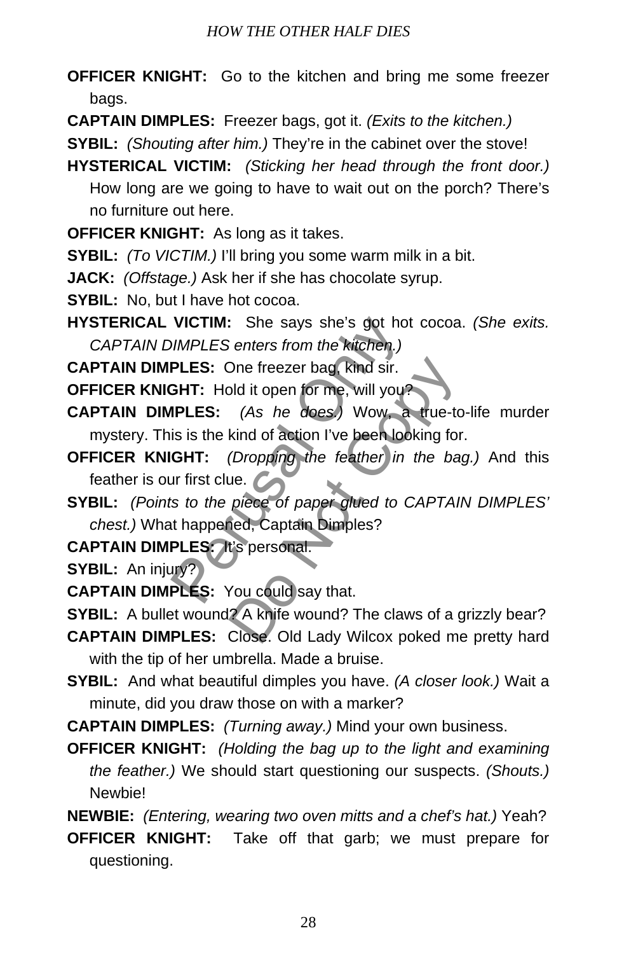- **OFFICER KNIGHT:** Go to the kitchen and bring me some freezer bags.
- **CAPTAIN DIMPLES:** Freezer bags, got it. *(Exits to the kitchen.)*

**SYBIL:** *(Shouting after him.)* They're in the cabinet over the stove!

- **HYSTERICAL VICTIM:** *(Sticking her head through the front door.)* How long are we going to have to wait out on the porch? There's no furniture out here.
- **OFFICER KNIGHT:** As long as it takes.
- **SYBIL:** *(To VICTIM.)* I'll bring you some warm milk in a bit.
- **JACK:** *(Offstage.)* Ask her if she has chocolate syrup.
- **SYBIL:** No, but I have hot cocoa.
- **HYSTERICAL VICTIM:** She says she's got hot cocoa. *(She exits. CAPTAIN DIMPLES enters from the kitchen.)*
- **CAPTAIN DIMPLES:** One freezer bag, kind sir.
- **OFFICER KNIGHT:** Hold it open for me, will you?
- **CAPTAIN DIMPLES:** *(As he does.)* Wow, a true-to-life murder mystery. This is the kind of action I've been looking for. VICTIM: She says she's got hot<br>
DIMPLES enters from the kitchen.)<br>
PLES: One freezer bag, kind sir.<br>
GHT: Hold it open for me, will you?<br>
IPLES: (As he does.) Wow, a<br>
is is the kind of action I've been look<br>
GHT: (Dropping One freezer bag, kind sir.<br>
bld it open for me, will you?<br>
(As he does.) Wow, a true-to<br>
kind of action I've been looking for<br>
(Dropping the feather in the ba<br>
ue.<br>
piece of paper glued to CAPTAI<br>
led, Captain Dimples?<br>
t'
- **OFFICER KNIGHT:** *(Dropping the feather in the bag.)* And this feather is our first clue.
- **SYBIL:** *(Points to the piece of paper glued to CAPTAIN DIMPLES' chest.)* What happened, Captain Dimples?
- **CAPTAIN DIMPLES:** It's personal.
- **SYBIL:** An injury?
- **CAPTAIN DIMPLES:** You could say that.
- **SYBIL:** A bullet wound? A knife wound? The claws of a grizzly bear?
- **CAPTAIN DIMPLES:** Close. Old Lady Wilcox poked me pretty hard with the tip of her umbrella. Made a bruise.
- **SYBIL:** And what beautiful dimples you have. *(A closer look.)* Wait a minute, did you draw those on with a marker?
- **CAPTAIN DIMPLES:** *(Turning away.)* Mind your own business.
- **OFFICER KNIGHT:** *(Holding the bag up to the light and examining the feather.)* We should start questioning our suspects. *(Shouts.)* Newbie!
- **NEWBIE:** *(Entering, wearing two oven mitts and a chef's hat.)* Yeah?
- **OFFICER KNIGHT:** Take off that garb; we must prepare for questioning.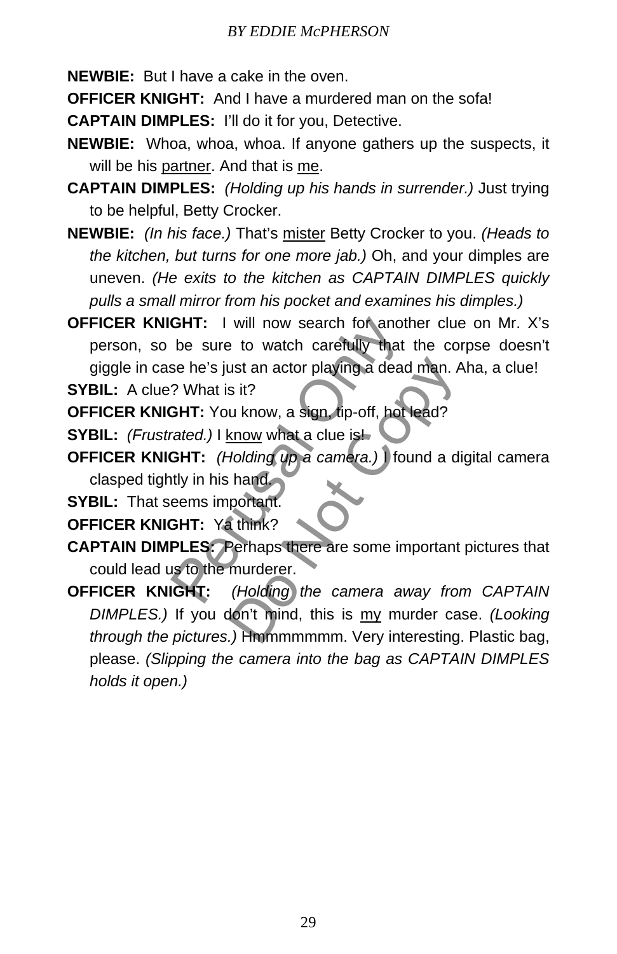- **NEWBIE:** But I have a cake in the oven.
- **OFFICER KNIGHT:** And I have a murdered man on the sofa!
- **CAPTAIN DIMPLES:** I'll do it for you, Detective.
- **NEWBIE:** Whoa, whoa, whoa. If anyone gathers up the suspects, it will be his partner. And that is me.
- **CAPTAIN DIMPLES:** *(Holding up his hands in surrender.)* Just trying to be helpful, Betty Crocker.
- **NEWBIE:** *(In his face.)* That's mister Betty Crocker to you. *(Heads to the kitchen, but turns for one more jab.)* Oh, and your dimples are uneven. *(He exits to the kitchen as CAPTAIN DIMPLES quickly pulls a small mirror from his pocket and examines his dimples.)*
- **OFFICER KNIGHT:** I will now search for another clue on Mr. X's person, so be sure to watch carefully that the corpse doesn't giggle in case he's just an actor playing a dead man. Aha, a clue! **GHT:** I will now search for anothe<br>be sure to watch carefully that the<br>se he's just an actor playing a dead r<br>? What is it?<br>**GHT:** You know, a sign, tip-off, hot le<br>rated.) I know what a clue is!<br>**GHT:** (Holding up a came

**SYBIL:** A clue? What is it?

**OFFICER KNIGHT:** You know, a sign, tip-off, hot lead?

- **SYBIL:** *(Frustrated.)* I know what a clue is!
- **OFFICER KNIGHT:** *(Holding up a camera.)* I found a digital camera clasped tightly in his hand.
- **SYBIL:** That seems important.

**OFFICER KNIGHT:** Ya think?

**CAPTAIN DIMPLES:** Perhaps there are some important pictures that could lead us to the murderer.

**OFFICER KNIGHT:** *(Holding the camera away from CAPTAIN DIMPLES.)* If you don't mind, this is my murder case. *(Looking through the pictures.)* Hmmmmmmm. Very interesting. Plastic bag, please. *(Slipping the camera into the bag as CAPTAIN DIMPLES holds it open.)* ust an actor playing a dead man. A<br>
s it?<br>
u know, a sign, tip-off, hot lead?<br>
snow what a clue is!<br>
dolding up a camera.) I found a di<br>
hand<br>
portant.<br>
think?<br>
Perhaps there are some important<br>
murderer.<br>
(Holding) the ca